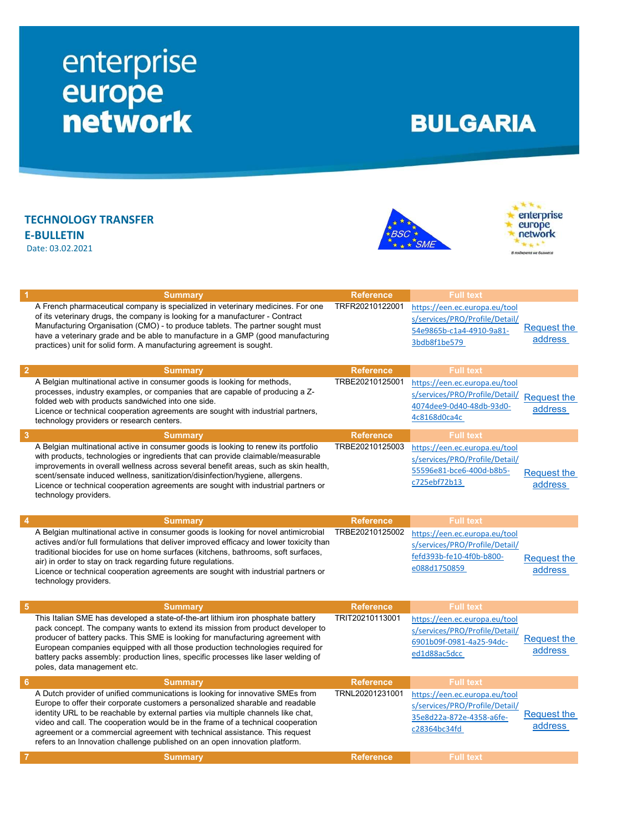## enterprise<br>
europe<br>
network

## **BULGARIA**

TECHNOLOGY TRANSFER E-BULLETIN Date: 03.02.2021





|   | <b>Summary</b>                                                                                                                                                                                                                                                                                                                                                                                                                                                                                          | <b>Reference</b> | <b>Full text</b>                                                                                            |                               |
|---|---------------------------------------------------------------------------------------------------------------------------------------------------------------------------------------------------------------------------------------------------------------------------------------------------------------------------------------------------------------------------------------------------------------------------------------------------------------------------------------------------------|------------------|-------------------------------------------------------------------------------------------------------------|-------------------------------|
|   | A French pharmaceutical company is specialized in veterinary medicines. For one<br>of its veterinary drugs, the company is looking for a manufacturer - Contract<br>Manufacturing Organisation (CMO) - to produce tablets. The partner sought must<br>have a veterinary grade and be able to manufacture in a GMP (good manufacturing<br>practices) unit for solid form. A manufacturing agreement is sought.                                                                                           | TRFR20210122001  | https://een.ec.europa.eu/tool<br>s/services/PRO/Profile/Detail/<br>54e9865b-c1a4-4910-9a81-<br>3bdb8f1be579 | Request the<br>address        |
|   | <b>Summary</b>                                                                                                                                                                                                                                                                                                                                                                                                                                                                                          | <b>Reference</b> | <b>Full text</b>                                                                                            |                               |
|   | A Belgian multinational active in consumer goods is looking for methods,<br>processes, industry examples, or companies that are capable of producing a Z-<br>folded web with products sandwiched into one side.<br>Licence or technical cooperation agreements are sought with industrial partners,<br>technology providers or research centers.                                                                                                                                                        | TRBE20210125001  | https://een.ec.europa.eu/tool<br>s/services/PRO/Profile/Detail/<br>4074dee9-0d40-48db-93d0-<br>4c8168d0ca4c | <b>Request the</b><br>address |
| 3 | <b>Summary</b>                                                                                                                                                                                                                                                                                                                                                                                                                                                                                          | <b>Reference</b> | <b>Full text</b>                                                                                            |                               |
|   | A Belgian multinational active in consumer goods is looking to renew its portfolio<br>with products, technologies or ingredients that can provide claimable/measurable<br>improvements in overall wellness across several benefit areas, such as skin health,<br>scent/sensate induced wellness, sanitization/disinfection/hygiene, allergens.<br>Licence or technical cooperation agreements are sought with industrial partners or<br>technology providers.                                           | TRBE20210125003  | https://een.ec.europa.eu/tool<br>s/services/PRO/Profile/Detail/<br>55596e81-bce6-400d-b8b5-<br>c725ebf72b13 | <b>Request the</b><br>address |
|   | <b>Summary</b>                                                                                                                                                                                                                                                                                                                                                                                                                                                                                          | <b>Reference</b> | <b>Full text</b>                                                                                            |                               |
|   | A Belgian multinational active in consumer goods is looking for novel antimicrobial<br>actives and/or full formulations that deliver improved efficacy and lower toxicity than<br>traditional biocides for use on home surfaces (kitchens, bathrooms, soft surfaces,<br>air) in order to stay on track regarding future regulations.<br>Licence or technical cooperation agreements are sought with industrial partners or<br>technology providers.                                                     | TRBE20210125002  | https://een.ec.europa.eu/tool<br>s/services/PRO/Profile/Detail/<br>fefd393b-fe10-4f0b-b800-<br>e088d1750859 | <b>Request the</b><br>address |
| 5 | <b>Summary</b>                                                                                                                                                                                                                                                                                                                                                                                                                                                                                          | <b>Reference</b> | <b>Full text</b>                                                                                            |                               |
|   | This Italian SME has developed a state-of-the-art lithium iron phosphate battery<br>pack concept. The company wants to extend its mission from product developer to<br>producer of battery packs. This SME is looking for manufacturing agreement with<br>European companies equipped with all those production technologies required for<br>battery packs assembly: production lines, specific processes like laser welding of<br>poles, data management etc.                                          | TRIT20210113001  | https://een.ec.europa.eu/tool<br>s/services/PRO/Profile/Detail/<br>6901b09f-0981-4a25-94dc-<br>ed1d88ac5dcc | Request the<br>address        |
| 6 | <b>Summary</b>                                                                                                                                                                                                                                                                                                                                                                                                                                                                                          | <b>Reference</b> | <b>Full text</b>                                                                                            |                               |
|   | A Dutch provider of unified communications is looking for innovative SMEs from<br>Europe to offer their corporate customers a personalized sharable and readable<br>identity URL to be reachable by external parties via multiple channels like chat,<br>video and call. The cooperation would be in the frame of a technical cooperation<br>agreement or a commercial agreement with technical assistance. This request<br>refers to an Innovation challenge published on an open innovation platform. | TRNL20201231001  | https://een.ec.europa.eu/tool<br>s/services/PRO/Profile/Detail/<br>35e8d22a-872e-4358-a6fe-<br>c28364bc34fd | Request the<br>address        |
|   | <b>Summary</b>                                                                                                                                                                                                                                                                                                                                                                                                                                                                                          | <b>Reference</b> | <b>Full text</b>                                                                                            |                               |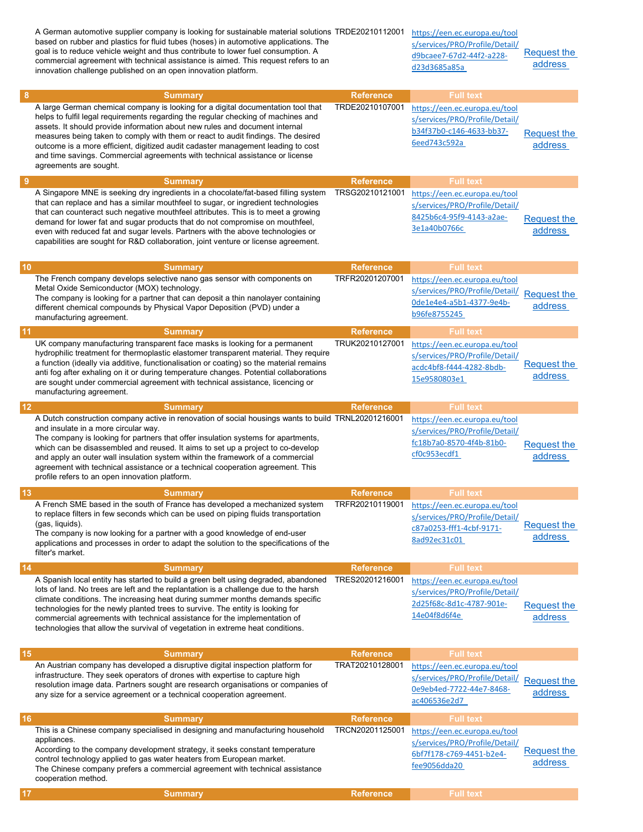|    | A German automotive supplier company is looking for sustainable material solutions TRDE20210112001<br>based on rubber and plastics for fluid tubes (hoses) in automotive applications. The<br>goal is to reduce vehicle weight and thus contribute to lower fuel consumption. A<br>commercial agreement with technical assistance is aimed. This request refers to an<br>innovation challenge published on an open innovation platform.                                                                                                   |                                     | https://een.ec.europa.eu/tool<br>s/services/PRO/Profile/Detail/<br>d9bcaee7-67d2-44f2-a228-<br>d23d3685a85a | Request the<br>address        |
|----|-------------------------------------------------------------------------------------------------------------------------------------------------------------------------------------------------------------------------------------------------------------------------------------------------------------------------------------------------------------------------------------------------------------------------------------------------------------------------------------------------------------------------------------------|-------------------------------------|-------------------------------------------------------------------------------------------------------------|-------------------------------|
| 8  | <b>Summary</b><br>A large German chemical company is looking for a digital documentation tool that                                                                                                                                                                                                                                                                                                                                                                                                                                        | <b>Reference</b><br>TRDE20210107001 | <b>Full text</b><br>https://een.ec.europa.eu/tool                                                           |                               |
|    | helps to fulfil legal requirements regarding the regular checking of machines and<br>assets. It should provide information about new rules and document internal<br>measures being taken to comply with them or react to audit findings. The desired<br>outcome is a more efficient, digitized audit cadaster management leading to cost<br>and time savings. Commercial agreements with technical assistance or license<br>agreements are sought.                                                                                        |                                     | s/services/PRO/Profile/Detail/<br>b34f37b0-c146-4633-bb37-<br>6eed743c592a                                  | <b>Request the</b><br>address |
| 9  | <b>Summary</b>                                                                                                                                                                                                                                                                                                                                                                                                                                                                                                                            | <b>Reference</b>                    | <b>Full text</b>                                                                                            |                               |
|    | A Singapore MNE is seeking dry ingredients in a chocolate/fat-based filling system<br>that can replace and has a similar mouthfeel to sugar, or ingredient technologies<br>that can counteract such negative mouthfeel attributes. This is to meet a growing<br>demand for lower fat and sugar products that do not compromise on mouthfeel,<br>even with reduced fat and sugar levels. Partners with the above technologies or<br>capabilities are sought for R&D collaboration, joint venture or license agreement.                     | TRSG20210121001                     | https://een.ec.europa.eu/tool<br>s/services/PRO/Profile/Detail/<br>8425b6c4-95f9-4143-a2ae-<br>3e1a40b0766c | <b>Request the</b><br>address |
| 10 | <b>Summary</b>                                                                                                                                                                                                                                                                                                                                                                                                                                                                                                                            | <b>Reference</b>                    | <b>Full text</b>                                                                                            |                               |
|    | The French company develops selective nano gas sensor with components on                                                                                                                                                                                                                                                                                                                                                                                                                                                                  | TRFR20201207001                     | https://een.ec.europa.eu/tool                                                                               |                               |
|    | Metal Oxide Semiconductor (MOX) technology.<br>The company is looking for a partner that can deposit a thin nanolayer containing<br>different chemical compounds by Physical Vapor Deposition (PVD) under a<br>manufacturing agreement.                                                                                                                                                                                                                                                                                                   |                                     | s/services/PRO/Profile/Detail/<br>0de1e4e4-a5b1-4377-9e4b-<br>b96fe8755245                                  | <b>Request the</b><br>address |
|    |                                                                                                                                                                                                                                                                                                                                                                                                                                                                                                                                           |                                     |                                                                                                             |                               |
| 11 | <b>Summary</b><br>UK company manufacturing transparent face masks is looking for a permanent                                                                                                                                                                                                                                                                                                                                                                                                                                              | <b>Reference</b><br>TRUK20210127001 | <b>Full text</b>                                                                                            |                               |
|    | hydrophilic treatment for thermoplastic elastomer transparent material. They require<br>a function (ideally via additive, functionalisation or coating) so the material remains<br>anti fog after exhaling on it or during temperature changes. Potential collaborations<br>are sought under commercial agreement with technical assistance, licencing or<br>manufacturing agreement.                                                                                                                                                     |                                     | https://een.ec.europa.eu/tool<br>s/services/PRO/Profile/Detail/<br>acdc4bf8-f444-4282-8bdb-<br>15e9580803e1 | Request the<br>address        |
| 12 | <b>Summary</b>                                                                                                                                                                                                                                                                                                                                                                                                                                                                                                                            | <b>Reference</b>                    | <b>Full text</b>                                                                                            |                               |
|    | A Dutch construction company active in renovation of social housings wants to build TRNL20201216001<br>and insulate in a more circular way.<br>The company is looking for partners that offer insulation systems for apartments,<br>which can be disassembled and reused. It aims to set up a project to co-develop<br>and apply an outer wall insulation system within the framework of a commercial<br>agreement with technical assistance or a technical cooperation agreement. This<br>profile refers to an open innovation platform. |                                     | https://een.ec.europa.eu/tool<br>s/services/PRO/Profile/Detail/<br>fc18b7a0-8570-4f4b-81b0-<br>cf0c953ecdf1 | <b>Request the</b><br>address |
| 13 | <b>Summary</b>                                                                                                                                                                                                                                                                                                                                                                                                                                                                                                                            | <b>Reference</b>                    | <b>Full text</b>                                                                                            |                               |
|    | A French SME based in the south of France has developed a mechanized system<br>to replace filters in few seconds which can be used on piping fluids transportation<br>(gas, liquids).<br>The company is now looking for a partner with a good knowledge of end-user<br>applications and processes in order to adapt the solution to the specifications of the<br>filter's market.                                                                                                                                                         | TRFR20210119001                     | https://een.ec.europa.eu/tool<br>s/services/PRO/Profile/Detail/<br>c87a0253-fff1-4cbf-9171-<br>8ad92ec31c01 | <b>Request the</b><br>address |
| 14 | <b>Summary</b>                                                                                                                                                                                                                                                                                                                                                                                                                                                                                                                            | <b>Reference</b>                    | <b>Full</b> text                                                                                            |                               |
|    | A Spanish local entity has started to build a green belt using degraded, abandoned<br>lots of land. No trees are left and the replantation is a challenge due to the harsh<br>climate conditions. The increasing heat during summer months demands specific<br>technologies for the newly planted trees to survive. The entity is looking for<br>commercial agreements with technical assistance for the implementation of<br>technologies that allow the survival of vegetation in extreme heat conditions.                              | TRES20201216001                     | https://een.ec.europa.eu/tool<br>s/services/PRO/Profile/Detail/<br>2d25f68c-8d1c-4787-901e-<br>14e04f8d6f4e | <b>Request the</b><br>address |
| 15 | <b>Summary</b>                                                                                                                                                                                                                                                                                                                                                                                                                                                                                                                            | <b>Reference</b>                    | <b>Full text</b>                                                                                            |                               |
|    | An Austrian company has developed a disruptive digital inspection platform for<br>infrastructure. They seek operators of drones with expertise to capture high<br>resolution image data. Partners sought are research organisations or companies of<br>any size for a service agreement or a technical cooperation agreement.                                                                                                                                                                                                             | TRAT20210128001                     | https://een.ec.europa.eu/tool<br>s/services/PRO/Profile/Detail/<br>0e9eb4ed-7722-44e7-8468-<br>ac406536e2d7 | <b>Request the</b><br>address |
| 16 | <b>Summary</b>                                                                                                                                                                                                                                                                                                                                                                                                                                                                                                                            | <b>Reference</b>                    | <b>Full text</b>                                                                                            |                               |
|    | This is a Chinese company specialised in designing and manufacturing household<br>appliances.<br>According to the company development strategy, it seeks constant temperature<br>control technology applied to gas water heaters from European market.<br>The Chinese company prefers a commercial agreement with technical assistance<br>cooperation method.                                                                                                                                                                             | TRCN20201125001                     | https://een.ec.europa.eu/tool<br>s/services/PRO/Profile/Detail/<br>6bf7f178-c769-4451-b2e4-<br>fee9056dda20 | Request the<br>address        |
| 17 | <b>Summary</b>                                                                                                                                                                                                                                                                                                                                                                                                                                                                                                                            | <b>Reference</b>                    | <b>Full text</b>                                                                                            |                               |
|    |                                                                                                                                                                                                                                                                                                                                                                                                                                                                                                                                           |                                     |                                                                                                             |                               |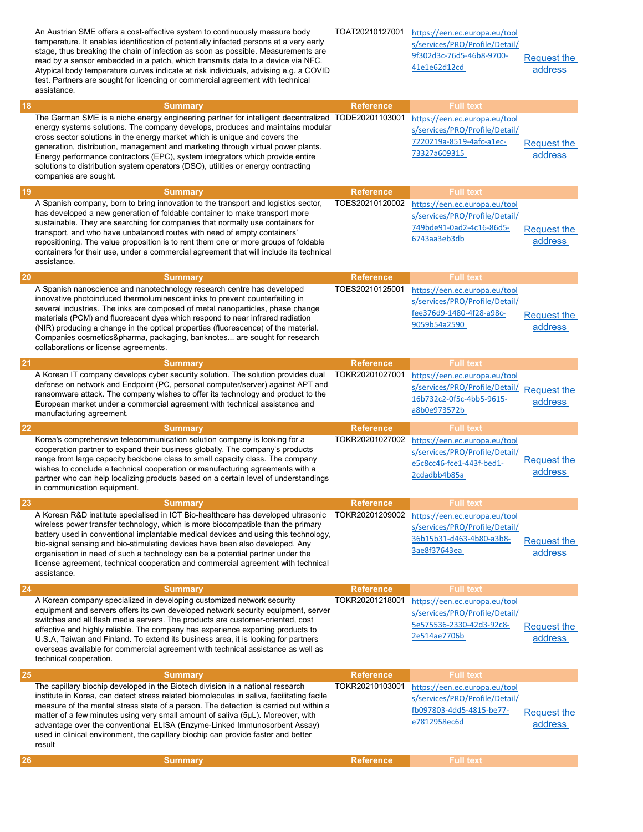|           | An Austrian SME offers a cost-effective system to continuously measure body<br>temperature. It enables identification of potentially infected persons at a very early<br>stage, thus breaking the chain of infection as soon as possible. Measurements are<br>read by a sensor embedded in a patch, which transmits data to a device via NFC.<br>Atypical body temperature curves indicate at risk individuals, advising e.g. a COVID<br>test. Partners are sought for licencing or commercial agreement with technical<br>assistance.                | TOAT20210127001  | https://een.ec.europa.eu/tool<br>s/services/PRO/Profile/Detail/<br>9f302d3c-76d5-46b8-9700-<br>41e1e62d12cd | <b>Request the</b><br>address |
|-----------|-------------------------------------------------------------------------------------------------------------------------------------------------------------------------------------------------------------------------------------------------------------------------------------------------------------------------------------------------------------------------------------------------------------------------------------------------------------------------------------------------------------------------------------------------------|------------------|-------------------------------------------------------------------------------------------------------------|-------------------------------|
| 18        | <b>Summary</b>                                                                                                                                                                                                                                                                                                                                                                                                                                                                                                                                        | <b>Reference</b> | <b>Full text</b>                                                                                            |                               |
|           | The German SME is a niche energy engineering partner for intelligent decentralized TODE20201103001<br>energy systems solutions. The company develops, produces and maintains modular<br>cross sector solutions in the energy market which is unique and covers the<br>generation, distribution, management and marketing through virtual power plants.<br>Energy performance contractors (EPC), system integrators which provide entire<br>solutions to distribution system operators (DSO), utilities or energy contracting<br>companies are sought. |                  | https://een.ec.europa.eu/tool<br>s/services/PRO/Profile/Detail/<br>7220219a-8519-4afc-a1ec-<br>73327a609315 | <b>Request the</b><br>address |
| 19        | <b>Summary</b>                                                                                                                                                                                                                                                                                                                                                                                                                                                                                                                                        | <b>Reference</b> | <b>Full text</b>                                                                                            |                               |
|           | A Spanish company, born to bring innovation to the transport and logistics sector,<br>has developed a new generation of foldable container to make transport more<br>sustainable. They are searching for companies that normally use containers for<br>transport, and who have unbalanced routes with need of empty containers'<br>repositioning. The value proposition is to rent them one or more groups of foldable<br>containers for their use, under a commercial agreement that will include its technical<br>assistance.                       | TOES20210120002  | https://een.ec.europa.eu/tool<br>s/services/PRO/Profile/Detail/<br>749bde91-0ad2-4c16-86d5-<br>6743aa3eb3db | <b>Request the</b><br>address |
| <b>20</b> | <b>Summary</b>                                                                                                                                                                                                                                                                                                                                                                                                                                                                                                                                        | <b>Reference</b> | <b>Full text</b>                                                                                            |                               |
|           | A Spanish nanoscience and nanotechnology research centre has developed<br>innovative photoinduced thermoluminescent inks to prevent counterfeiting in<br>several industries. The inks are composed of metal nanoparticles, phase change<br>materials (PCM) and fluorescent dyes which respond to near infrared radiation<br>(NIR) producing a change in the optical properties (fluorescence) of the material.<br>Companies cosmetics&pharma, packaging, banknotes are sought for research<br>collaborations or license agreements.                   | TOES20210125001  | https://een.ec.europa.eu/tool<br>s/services/PRO/Profile/Detail/<br>fee376d9-1480-4f28-a98c-<br>9059b54a2590 | <b>Request the</b><br>address |
| 21        | <b>Summary</b>                                                                                                                                                                                                                                                                                                                                                                                                                                                                                                                                        | <b>Reference</b> | <b>Full text</b>                                                                                            |                               |
|           | A Korean IT company develops cyber security solution. The solution provides dual<br>defense on network and Endpoint (PC, personal computer/server) against APT and<br>ransomware attack. The company wishes to offer its technology and product to the<br>European market under a commercial agreement with technical assistance and<br>manufacturing agreement.                                                                                                                                                                                      | TOKR20201027001  | https://een.ec.europa.eu/tool<br>s/services/PRO/Profile/Detail/<br>16b732c2-0f5c-4bb5-9615-<br>a8b0e973572b | <b>Request the</b><br>address |
| <b>22</b> | <b>Summary</b>                                                                                                                                                                                                                                                                                                                                                                                                                                                                                                                                        | <b>Reference</b> | <b>Full text</b>                                                                                            |                               |
|           | Korea's comprehensive telecommunication solution company is looking for a<br>cooperation partner to expand their business globally. The company's products<br>range from large capacity backbone class to small capacity class. The company<br>wishes to conclude a technical cooperation or manufacturing agreements with a<br>partner who can help localizing products based on a certain level of understandings<br>in communication equipment.                                                                                                    | TOKR20201027002  | https://een.ec.europa.eu/tool<br>s/services/PRO/Profile/Detail/<br>e5c8cc46-fce1-443f-bed1-<br>2cdadbb4b85a | Request the<br>address        |
| 23        | <b>Summary</b>                                                                                                                                                                                                                                                                                                                                                                                                                                                                                                                                        | <b>Reference</b> | <b>Full text</b>                                                                                            |                               |
|           | A Korean R&D institute specialised in ICT Bio-healthcare has developed ultrasonic<br>wireless power transfer technology, which is more biocompatible than the primary<br>battery used in conventional implantable medical devices and using this technology,<br>bio-signal sensing and bio-stimulating devices have been also developed. Any<br>organisation in need of such a technology can be a potential partner under the<br>license agreement, technical cooperation and commercial agreement with technical<br>assistance.                     | TOKR20201209002  | https://een.ec.europa.eu/tool<br>s/services/PRO/Profile/Detail/<br>36b15b31-d463-4b80-a3b8-<br>3ae8f37643ea | <b>Request the</b><br>address |
| 24        | <b>Summary</b>                                                                                                                                                                                                                                                                                                                                                                                                                                                                                                                                        | <b>Reference</b> | <b>Full text</b>                                                                                            |                               |
|           | A Korean company specialized in developing customized network security<br>equipment and servers offers its own developed network security equipment, server<br>switches and all flash media servers. The products are customer-oriented, cost<br>effective and highly reliable. The company has experience exporting products to<br>U.S.A, Taiwan and Finland. To extend its business area, it is looking for partners<br>overseas available for commercial agreement with technical assistance as well as<br>technical cooperation.                  | TOKR20201218001  | https://een.ec.europa.eu/tool<br>s/services/PRO/Profile/Detail/<br>5e575536-2330-42d3-92c8-<br>2e514ae7706b | <b>Request the</b><br>address |
| <b>25</b> | <b>Summary</b>                                                                                                                                                                                                                                                                                                                                                                                                                                                                                                                                        | <b>Reference</b> | <b>Full text</b>                                                                                            |                               |
|           | The capillary biochip developed in the Biotech division in a national research<br>institute in Korea, can detect stress related biomolecules in saliva, facilitating facile<br>measure of the mental stress state of a person. The detection is carried out within a<br>matter of a few minutes using very small amount of saliva (5µL). Moreover, with<br>advantage over the conventional ELISA (Enzyme-Linked Immunosorbent Assay)<br>used in clinical environment, the capillary biochip can provide faster and better<br>result                   | TOKR20210103001  | https://een.ec.europa.eu/tool<br>s/services/PRO/Profile/Detail/<br>fb097803-4dd5-4815-be77-<br>e7812958ec6d | Request the<br>address        |
| <b>26</b> | <b>Summary</b>                                                                                                                                                                                                                                                                                                                                                                                                                                                                                                                                        | <b>Reference</b> | <b>Full text</b>                                                                                            |                               |
|           |                                                                                                                                                                                                                                                                                                                                                                                                                                                                                                                                                       |                  |                                                                                                             |                               |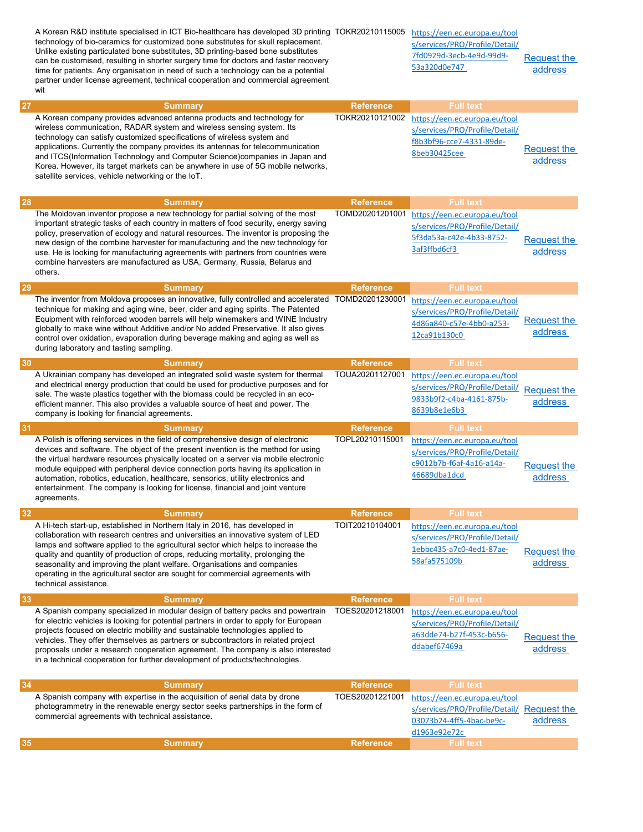| A Korean company provides advanced antenna products and technology for<br>TOKR20210121002<br>https://een.ec.europa.eu/tool<br>wireless communication, RADAR system and wireless sensing system. Its<br>s/services/PRO/Profile/Detail/<br>technology can satisfy customized specifications of wireless system and<br>f8b3bf96-cce7-4331-89de-<br>applications. Currently the company provides its antennas for telecommunication<br><b>Request the</b><br>8beb30425cee<br>and ITCS(Information Technology and Computer Science)companies in Japan and<br>address<br>Korea. However, its target markets can be anywhere in use of 5G mobile networks,<br>satellite services, vehicle networking or the IoT.<br>28<br><b>Reference</b><br><b>Full text</b><br><b>Summary</b><br>TOMD20201201001<br>The Moldovan inventor propose a new technology for partial solving of the most<br>https://een.ec.europa.eu/tool<br>important strategic tasks of each country in matters of food security, energy saving<br>s/services/PRO/Profile/Detail/<br>policy, preservation of ecology and natural resources. The inventor is proposing the<br>5f3da53a-c42e-4b33-8752-<br><b>Request the</b><br>new design of the combine harvester for manufacturing and the new technology for<br>3af3ffbd6cf3<br>address<br>use. He is looking for manufacturing agreements with partners from countries were<br>combine harvesters are manufactured as USA, Germany, Russia, Belarus and<br>others.<br>29<br><b>Full text</b><br><b>Reference</b><br><b>Summary</b><br>The inventor from Moldova proposes an innovative, fully controlled and accelerated TOMD20201230001<br>https://een.ec.europa.eu/tool<br>technique for making and aging wine, beer, cider and aging spirits. The Patented<br>s/services/PRO/Profile/Detail/<br>Equipment with reinforced wooden barrels will help winemakers and WINE Industry<br><b>Request the</b><br>4d86a840-c57e-4bb0-a253-<br>globally to make wine without Additive and/or No added Preservative. It also gives<br>address<br>12ca91b130c0<br>control over oxidation, evaporation during beverage making and aging as well as<br>during laboratory and tasting sampling.<br>30<br><b>Full text</b><br><b>Reference</b><br><b>Summary</b><br>A Ukrainian company has developed an integrated solid waste system for thermal<br>TOUA20201127001<br>https://een.ec.europa.eu/tool<br>and electrical energy production that could be used for productive purposes and for<br>s/services/PRO/Profile/Detail/<br><b>Request the</b><br>sale. The waste plastics together with the biomass could be recycled in an eco-<br>9833b9f2-c4ba-4161-875b-<br>address<br>efficient manner. This also provides a valuable source of heat and power. The<br>8639b8e1e6b3<br>company is looking for financial agreements.<br>31<br><b>Reference</b><br><b>Full text</b><br><b>Summary</b><br>A Polish is offering services in the field of comprehensive design of electronic<br>TOPL20210115001<br>https://een.ec.europa.eu/tool<br>devices and software. The object of the present invention is the method for using<br>s/services/PRO/Profile/Detail/<br>the virtual hardware resources physically located on a server via mobile electronic<br>c9012b7b-f6af-4a16-a14a-<br><b>Request the</b><br>module equipped with peripheral device connection ports having its application in<br>46689dba1dcd<br>address<br>automation, robotics, education, healthcare, sensorics, utility electronics and<br>entertainment. The company is looking for license, financial and joint venture<br>agreements.<br>32<br><b>Reference</b><br><b>Full text</b><br><b>Summary</b><br>TOIT20210104001<br>A Hi-tech start-up, established in Northern Italy in 2016, has developed in<br>https://een.ec.europa.eu/tool<br>collaboration with research centres and universities an innovative system of LED<br>s/services/PRO/Profile/Detail/<br>lamps and software applied to the agricultural sector which helps to increase the<br>1ebbc435-a7c0-4ed1-87ae-<br>Request the<br>quality and quantity of production of crops, reducing mortality, prolonging the<br>58afa575109b<br>address<br>seasonality and improving the plant welfare. Organisations and companies<br>operating in the agricultural sector are sought for commercial agreements with<br>technical assistance.<br>33<br><b>Full text</b><br><b>Reference</b><br><b>Summary</b><br>A Spanish company specialized in modular design of battery packs and powertrain<br>TOES20201218001<br>https://een.ec.europa.eu/tool<br>for electric vehicles is looking for potential partners in order to apply for European<br>s/services/PRO/Profile/Detail/<br>projects focused on electric mobility and sustainable technologies applied to<br>a63dde74-b27f-453c-b656-<br><b>Request the</b><br>vehicles. They offer themselves as partners or subcontractors in related project<br>ddabef67469a<br>address<br>proposals under a research cooperation agreement. The company is also interested<br>in a technical cooperation for further development of products/technologies.<br>34<br><b>Full text</b><br><b>Reference</b><br><b>Summary</b><br>A Spanish company with expertise in the acquisition of aerial data by drone<br>TOES20201221001<br>https://een.ec.europa.eu/tool<br>photogrammetry in the renewable energy sector seeks partnerships in the form of<br>s/services/PRO/Profile/Detail/ Request the<br>commercial agreements with technical assistance.<br>address<br>03073b24-4ff5-4bac-be9c-<br>d1963e92e72c<br>35<br><b>Reference</b><br><b>Full text</b><br><b>Summary</b> |    | A Korean R&D institute specialised in ICT Bio-healthcare has developed 3D printing TOKR20210115005<br>technology of bio-ceramics for customized bone substitutes for skull replacement.<br>Unlike existing particulated bone substitutes, 3D printing-based bone substitutes<br>can be customised, resulting in shorter surgery time for doctors and faster recovery<br>time for patients. Any organisation in need of such a technology can be a potential<br>partner under license agreement, technical cooperation and commercial agreement<br>wit |                  | https://een.ec.europa.eu/tool<br>s/services/PRO/Profile/Detail/<br>7fd0929d-3ecb-4e9d-99d9-<br>53a320d0e747 | <b>Request the</b><br>address |
|---------------------------------------------------------------------------------------------------------------------------------------------------------------------------------------------------------------------------------------------------------------------------------------------------------------------------------------------------------------------------------------------------------------------------------------------------------------------------------------------------------------------------------------------------------------------------------------------------------------------------------------------------------------------------------------------------------------------------------------------------------------------------------------------------------------------------------------------------------------------------------------------------------------------------------------------------------------------------------------------------------------------------------------------------------------------------------------------------------------------------------------------------------------------------------------------------------------------------------------------------------------------------------------------------------------------------------------------------------------------------------------------------------------------------------------------------------------------------------------------------------------------------------------------------------------------------------------------------------------------------------------------------------------------------------------------------------------------------------------------------------------------------------------------------------------------------------------------------------------------------------------------------------------------------------------------------------------------------------------------------------------------------------------------------------------------------------------------------------------------------------------------------------------------------------------------------------------------------------------------------------------------------------------------------------------------------------------------------------------------------------------------------------------------------------------------------------------------------------------------------------------------------------------------------------------------------------------------------------------------------------------------------------------------------------------------------------------------------------------------------------------------------------------------------------------------------------------------------------------------------------------------------------------------------------------------------------------------------------------------------------------------------------------------------------------------------------------------------------------------------------------------------------------------------------------------------------------------------------------------------------------------------------------------------------------------------------------------------------------------------------------------------------------------------------------------------------------------------------------------------------------------------------------------------------------------------------------------------------------------------------------------------------------------------------------------------------------------------------------------------------------------------------------------------------------------------------------------------------------------------------------------------------------------------------------------------------------------------------------------------------------------------------------------------------------------------------------------------------------------------------------------------------------------------------------------------------------------------------------------------------------------------------------------------------------------------------------------------------------------------------------------------------------------------------------------------------------------------------------------------------------------------------------------------------------------------------------------------------------------------------------------------------------------------------------------------------------------------------------------------------------------------------------------------------------------------------------------------------------------------------------------------------------------------------------------------------------------------------------------------------------------------------------------------------------------------------------------------------------------------------------------------------------------------------------------------------------------------------------------------------------------------------------------------------------------------------------------------------------------------------------------------------------------------------------------------------------------------------------------------------------------------------------------------------------------------------------------------------------------------------------------------|----|-------------------------------------------------------------------------------------------------------------------------------------------------------------------------------------------------------------------------------------------------------------------------------------------------------------------------------------------------------------------------------------------------------------------------------------------------------------------------------------------------------------------------------------------------------|------------------|-------------------------------------------------------------------------------------------------------------|-------------------------------|
|                                                                                                                                                                                                                                                                                                                                                                                                                                                                                                                                                                                                                                                                                                                                                                                                                                                                                                                                                                                                                                                                                                                                                                                                                                                                                                                                                                                                                                                                                                                                                                                                                                                                                                                                                                                                                                                                                                                                                                                                                                                                                                                                                                                                                                                                                                                                                                                                                                                                                                                                                                                                                                                                                                                                                                                                                                                                                                                                                                                                                                                                                                                                                                                                                                                                                                                                                                                                                                                                                                                                                                                                                                                                                                                                                                                                                                                                                                                                                                                                                                                                                                                                                                                                                                                                                                                                                                                                                                                                                                                                                                                                                                                                                                                                                                                                                                                                                                                                                                                                                                                                                                                                                                                                                                                                                                                                                                                                                                                                                                                                                                                                                                                   | 27 | <b>Summary</b>                                                                                                                                                                                                                                                                                                                                                                                                                                                                                                                                        | <b>Reference</b> | <b>Full text</b>                                                                                            |                               |
|                                                                                                                                                                                                                                                                                                                                                                                                                                                                                                                                                                                                                                                                                                                                                                                                                                                                                                                                                                                                                                                                                                                                                                                                                                                                                                                                                                                                                                                                                                                                                                                                                                                                                                                                                                                                                                                                                                                                                                                                                                                                                                                                                                                                                                                                                                                                                                                                                                                                                                                                                                                                                                                                                                                                                                                                                                                                                                                                                                                                                                                                                                                                                                                                                                                                                                                                                                                                                                                                                                                                                                                                                                                                                                                                                                                                                                                                                                                                                                                                                                                                                                                                                                                                                                                                                                                                                                                                                                                                                                                                                                                                                                                                                                                                                                                                                                                                                                                                                                                                                                                                                                                                                                                                                                                                                                                                                                                                                                                                                                                                                                                                                                                   |    |                                                                                                                                                                                                                                                                                                                                                                                                                                                                                                                                                       |                  |                                                                                                             |                               |
|                                                                                                                                                                                                                                                                                                                                                                                                                                                                                                                                                                                                                                                                                                                                                                                                                                                                                                                                                                                                                                                                                                                                                                                                                                                                                                                                                                                                                                                                                                                                                                                                                                                                                                                                                                                                                                                                                                                                                                                                                                                                                                                                                                                                                                                                                                                                                                                                                                                                                                                                                                                                                                                                                                                                                                                                                                                                                                                                                                                                                                                                                                                                                                                                                                                                                                                                                                                                                                                                                                                                                                                                                                                                                                                                                                                                                                                                                                                                                                                                                                                                                                                                                                                                                                                                                                                                                                                                                                                                                                                                                                                                                                                                                                                                                                                                                                                                                                                                                                                                                                                                                                                                                                                                                                                                                                                                                                                                                                                                                                                                                                                                                                                   |    |                                                                                                                                                                                                                                                                                                                                                                                                                                                                                                                                                       |                  |                                                                                                             |                               |
|                                                                                                                                                                                                                                                                                                                                                                                                                                                                                                                                                                                                                                                                                                                                                                                                                                                                                                                                                                                                                                                                                                                                                                                                                                                                                                                                                                                                                                                                                                                                                                                                                                                                                                                                                                                                                                                                                                                                                                                                                                                                                                                                                                                                                                                                                                                                                                                                                                                                                                                                                                                                                                                                                                                                                                                                                                                                                                                                                                                                                                                                                                                                                                                                                                                                                                                                                                                                                                                                                                                                                                                                                                                                                                                                                                                                                                                                                                                                                                                                                                                                                                                                                                                                                                                                                                                                                                                                                                                                                                                                                                                                                                                                                                                                                                                                                                                                                                                                                                                                                                                                                                                                                                                                                                                                                                                                                                                                                                                                                                                                                                                                                                                   |    |                                                                                                                                                                                                                                                                                                                                                                                                                                                                                                                                                       |                  |                                                                                                             |                               |
|                                                                                                                                                                                                                                                                                                                                                                                                                                                                                                                                                                                                                                                                                                                                                                                                                                                                                                                                                                                                                                                                                                                                                                                                                                                                                                                                                                                                                                                                                                                                                                                                                                                                                                                                                                                                                                                                                                                                                                                                                                                                                                                                                                                                                                                                                                                                                                                                                                                                                                                                                                                                                                                                                                                                                                                                                                                                                                                                                                                                                                                                                                                                                                                                                                                                                                                                                                                                                                                                                                                                                                                                                                                                                                                                                                                                                                                                                                                                                                                                                                                                                                                                                                                                                                                                                                                                                                                                                                                                                                                                                                                                                                                                                                                                                                                                                                                                                                                                                                                                                                                                                                                                                                                                                                                                                                                                                                                                                                                                                                                                                                                                                                                   |    |                                                                                                                                                                                                                                                                                                                                                                                                                                                                                                                                                       |                  |                                                                                                             |                               |
|                                                                                                                                                                                                                                                                                                                                                                                                                                                                                                                                                                                                                                                                                                                                                                                                                                                                                                                                                                                                                                                                                                                                                                                                                                                                                                                                                                                                                                                                                                                                                                                                                                                                                                                                                                                                                                                                                                                                                                                                                                                                                                                                                                                                                                                                                                                                                                                                                                                                                                                                                                                                                                                                                                                                                                                                                                                                                                                                                                                                                                                                                                                                                                                                                                                                                                                                                                                                                                                                                                                                                                                                                                                                                                                                                                                                                                                                                                                                                                                                                                                                                                                                                                                                                                                                                                                                                                                                                                                                                                                                                                                                                                                                                                                                                                                                                                                                                                                                                                                                                                                                                                                                                                                                                                                                                                                                                                                                                                                                                                                                                                                                                                                   |    |                                                                                                                                                                                                                                                                                                                                                                                                                                                                                                                                                       |                  |                                                                                                             |                               |
|                                                                                                                                                                                                                                                                                                                                                                                                                                                                                                                                                                                                                                                                                                                                                                                                                                                                                                                                                                                                                                                                                                                                                                                                                                                                                                                                                                                                                                                                                                                                                                                                                                                                                                                                                                                                                                                                                                                                                                                                                                                                                                                                                                                                                                                                                                                                                                                                                                                                                                                                                                                                                                                                                                                                                                                                                                                                                                                                                                                                                                                                                                                                                                                                                                                                                                                                                                                                                                                                                                                                                                                                                                                                                                                                                                                                                                                                                                                                                                                                                                                                                                                                                                                                                                                                                                                                                                                                                                                                                                                                                                                                                                                                                                                                                                                                                                                                                                                                                                                                                                                                                                                                                                                                                                                                                                                                                                                                                                                                                                                                                                                                                                                   |    |                                                                                                                                                                                                                                                                                                                                                                                                                                                                                                                                                       |                  |                                                                                                             |                               |
|                                                                                                                                                                                                                                                                                                                                                                                                                                                                                                                                                                                                                                                                                                                                                                                                                                                                                                                                                                                                                                                                                                                                                                                                                                                                                                                                                                                                                                                                                                                                                                                                                                                                                                                                                                                                                                                                                                                                                                                                                                                                                                                                                                                                                                                                                                                                                                                                                                                                                                                                                                                                                                                                                                                                                                                                                                                                                                                                                                                                                                                                                                                                                                                                                                                                                                                                                                                                                                                                                                                                                                                                                                                                                                                                                                                                                                                                                                                                                                                                                                                                                                                                                                                                                                                                                                                                                                                                                                                                                                                                                                                                                                                                                                                                                                                                                                                                                                                                                                                                                                                                                                                                                                                                                                                                                                                                                                                                                                                                                                                                                                                                                                                   |    |                                                                                                                                                                                                                                                                                                                                                                                                                                                                                                                                                       |                  |                                                                                                             |                               |
|                                                                                                                                                                                                                                                                                                                                                                                                                                                                                                                                                                                                                                                                                                                                                                                                                                                                                                                                                                                                                                                                                                                                                                                                                                                                                                                                                                                                                                                                                                                                                                                                                                                                                                                                                                                                                                                                                                                                                                                                                                                                                                                                                                                                                                                                                                                                                                                                                                                                                                                                                                                                                                                                                                                                                                                                                                                                                                                                                                                                                                                                                                                                                                                                                                                                                                                                                                                                                                                                                                                                                                                                                                                                                                                                                                                                                                                                                                                                                                                                                                                                                                                                                                                                                                                                                                                                                                                                                                                                                                                                                                                                                                                                                                                                                                                                                                                                                                                                                                                                                                                                                                                                                                                                                                                                                                                                                                                                                                                                                                                                                                                                                                                   |    |                                                                                                                                                                                                                                                                                                                                                                                                                                                                                                                                                       |                  |                                                                                                             |                               |
|                                                                                                                                                                                                                                                                                                                                                                                                                                                                                                                                                                                                                                                                                                                                                                                                                                                                                                                                                                                                                                                                                                                                                                                                                                                                                                                                                                                                                                                                                                                                                                                                                                                                                                                                                                                                                                                                                                                                                                                                                                                                                                                                                                                                                                                                                                                                                                                                                                                                                                                                                                                                                                                                                                                                                                                                                                                                                                                                                                                                                                                                                                                                                                                                                                                                                                                                                                                                                                                                                                                                                                                                                                                                                                                                                                                                                                                                                                                                                                                                                                                                                                                                                                                                                                                                                                                                                                                                                                                                                                                                                                                                                                                                                                                                                                                                                                                                                                                                                                                                                                                                                                                                                                                                                                                                                                                                                                                                                                                                                                                                                                                                                                                   |    |                                                                                                                                                                                                                                                                                                                                                                                                                                                                                                                                                       |                  |                                                                                                             |                               |
|                                                                                                                                                                                                                                                                                                                                                                                                                                                                                                                                                                                                                                                                                                                                                                                                                                                                                                                                                                                                                                                                                                                                                                                                                                                                                                                                                                                                                                                                                                                                                                                                                                                                                                                                                                                                                                                                                                                                                                                                                                                                                                                                                                                                                                                                                                                                                                                                                                                                                                                                                                                                                                                                                                                                                                                                                                                                                                                                                                                                                                                                                                                                                                                                                                                                                                                                                                                                                                                                                                                                                                                                                                                                                                                                                                                                                                                                                                                                                                                                                                                                                                                                                                                                                                                                                                                                                                                                                                                                                                                                                                                                                                                                                                                                                                                                                                                                                                                                                                                                                                                                                                                                                                                                                                                                                                                                                                                                                                                                                                                                                                                                                                                   |    |                                                                                                                                                                                                                                                                                                                                                                                                                                                                                                                                                       |                  |                                                                                                             |                               |
|                                                                                                                                                                                                                                                                                                                                                                                                                                                                                                                                                                                                                                                                                                                                                                                                                                                                                                                                                                                                                                                                                                                                                                                                                                                                                                                                                                                                                                                                                                                                                                                                                                                                                                                                                                                                                                                                                                                                                                                                                                                                                                                                                                                                                                                                                                                                                                                                                                                                                                                                                                                                                                                                                                                                                                                                                                                                                                                                                                                                                                                                                                                                                                                                                                                                                                                                                                                                                                                                                                                                                                                                                                                                                                                                                                                                                                                                                                                                                                                                                                                                                                                                                                                                                                                                                                                                                                                                                                                                                                                                                                                                                                                                                                                                                                                                                                                                                                                                                                                                                                                                                                                                                                                                                                                                                                                                                                                                                                                                                                                                                                                                                                                   |    |                                                                                                                                                                                                                                                                                                                                                                                                                                                                                                                                                       |                  |                                                                                                             |                               |
|                                                                                                                                                                                                                                                                                                                                                                                                                                                                                                                                                                                                                                                                                                                                                                                                                                                                                                                                                                                                                                                                                                                                                                                                                                                                                                                                                                                                                                                                                                                                                                                                                                                                                                                                                                                                                                                                                                                                                                                                                                                                                                                                                                                                                                                                                                                                                                                                                                                                                                                                                                                                                                                                                                                                                                                                                                                                                                                                                                                                                                                                                                                                                                                                                                                                                                                                                                                                                                                                                                                                                                                                                                                                                                                                                                                                                                                                                                                                                                                                                                                                                                                                                                                                                                                                                                                                                                                                                                                                                                                                                                                                                                                                                                                                                                                                                                                                                                                                                                                                                                                                                                                                                                                                                                                                                                                                                                                                                                                                                                                                                                                                                                                   |    |                                                                                                                                                                                                                                                                                                                                                                                                                                                                                                                                                       |                  |                                                                                                             |                               |
|                                                                                                                                                                                                                                                                                                                                                                                                                                                                                                                                                                                                                                                                                                                                                                                                                                                                                                                                                                                                                                                                                                                                                                                                                                                                                                                                                                                                                                                                                                                                                                                                                                                                                                                                                                                                                                                                                                                                                                                                                                                                                                                                                                                                                                                                                                                                                                                                                                                                                                                                                                                                                                                                                                                                                                                                                                                                                                                                                                                                                                                                                                                                                                                                                                                                                                                                                                                                                                                                                                                                                                                                                                                                                                                                                                                                                                                                                                                                                                                                                                                                                                                                                                                                                                                                                                                                                                                                                                                                                                                                                                                                                                                                                                                                                                                                                                                                                                                                                                                                                                                                                                                                                                                                                                                                                                                                                                                                                                                                                                                                                                                                                                                   |    |                                                                                                                                                                                                                                                                                                                                                                                                                                                                                                                                                       |                  |                                                                                                             |                               |
|                                                                                                                                                                                                                                                                                                                                                                                                                                                                                                                                                                                                                                                                                                                                                                                                                                                                                                                                                                                                                                                                                                                                                                                                                                                                                                                                                                                                                                                                                                                                                                                                                                                                                                                                                                                                                                                                                                                                                                                                                                                                                                                                                                                                                                                                                                                                                                                                                                                                                                                                                                                                                                                                                                                                                                                                                                                                                                                                                                                                                                                                                                                                                                                                                                                                                                                                                                                                                                                                                                                                                                                                                                                                                                                                                                                                                                                                                                                                                                                                                                                                                                                                                                                                                                                                                                                                                                                                                                                                                                                                                                                                                                                                                                                                                                                                                                                                                                                                                                                                                                                                                                                                                                                                                                                                                                                                                                                                                                                                                                                                                                                                                                                   |    |                                                                                                                                                                                                                                                                                                                                                                                                                                                                                                                                                       |                  |                                                                                                             |                               |
|                                                                                                                                                                                                                                                                                                                                                                                                                                                                                                                                                                                                                                                                                                                                                                                                                                                                                                                                                                                                                                                                                                                                                                                                                                                                                                                                                                                                                                                                                                                                                                                                                                                                                                                                                                                                                                                                                                                                                                                                                                                                                                                                                                                                                                                                                                                                                                                                                                                                                                                                                                                                                                                                                                                                                                                                                                                                                                                                                                                                                                                                                                                                                                                                                                                                                                                                                                                                                                                                                                                                                                                                                                                                                                                                                                                                                                                                                                                                                                                                                                                                                                                                                                                                                                                                                                                                                                                                                                                                                                                                                                                                                                                                                                                                                                                                                                                                                                                                                                                                                                                                                                                                                                                                                                                                                                                                                                                                                                                                                                                                                                                                                                                   |    |                                                                                                                                                                                                                                                                                                                                                                                                                                                                                                                                                       |                  |                                                                                                             |                               |
|                                                                                                                                                                                                                                                                                                                                                                                                                                                                                                                                                                                                                                                                                                                                                                                                                                                                                                                                                                                                                                                                                                                                                                                                                                                                                                                                                                                                                                                                                                                                                                                                                                                                                                                                                                                                                                                                                                                                                                                                                                                                                                                                                                                                                                                                                                                                                                                                                                                                                                                                                                                                                                                                                                                                                                                                                                                                                                                                                                                                                                                                                                                                                                                                                                                                                                                                                                                                                                                                                                                                                                                                                                                                                                                                                                                                                                                                                                                                                                                                                                                                                                                                                                                                                                                                                                                                                                                                                                                                                                                                                                                                                                                                                                                                                                                                                                                                                                                                                                                                                                                                                                                                                                                                                                                                                                                                                                                                                                                                                                                                                                                                                                                   |    |                                                                                                                                                                                                                                                                                                                                                                                                                                                                                                                                                       |                  |                                                                                                             |                               |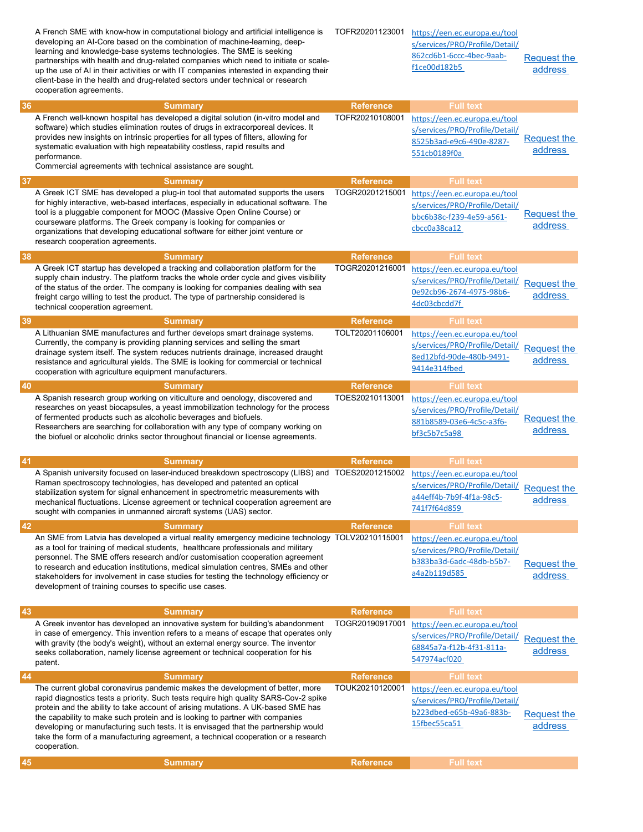|    | A French SME with know-how in computational biology and artificial intelligence is<br>developing an AI-Core based on the combination of machine-learning, deep-<br>learning and knowledge-base systems technologies. The SME is seeking<br>partnerships with health and drug-related companies which need to initiate or scale-<br>up the use of AI in their activities or with IT companies interested in expanding their<br>client-base in the health and drug-related sectors under technical or research<br>cooperation agreements. | TOFR20201123001  | https://een.ec.europa.eu/tool<br>s/services/PRO/Profile/Detail/<br>862cd6b1-6ccc-4bec-9aab-<br>f1ce00d182b5             | <b>Request the</b><br>address |
|----|-----------------------------------------------------------------------------------------------------------------------------------------------------------------------------------------------------------------------------------------------------------------------------------------------------------------------------------------------------------------------------------------------------------------------------------------------------------------------------------------------------------------------------------------|------------------|-------------------------------------------------------------------------------------------------------------------------|-------------------------------|
| 36 | <b>Summary</b>                                                                                                                                                                                                                                                                                                                                                                                                                                                                                                                          | <b>Reference</b> | <b>Full text</b>                                                                                                        |                               |
|    | A French well-known hospital has developed a digital solution (in-vitro model and<br>software) which studies elimination routes of drugs in extracorporeal devices. It<br>provides new insights on intrinsic properties for all types of filters, allowing for<br>systematic evaluation with high repeatability costless, rapid results and<br>performance.<br>Commercial agreements with technical assistance are sought.                                                                                                              | TOFR20210108001  | https://een.ec.europa.eu/tool<br>s/services/PRO/Profile/Detail/<br>8525b3ad-e9c6-490e-8287-<br>551cb0189f0a             | Request the<br>address        |
| 37 | <b>Summary</b>                                                                                                                                                                                                                                                                                                                                                                                                                                                                                                                          | <b>Reference</b> | <b>Full text</b>                                                                                                        |                               |
|    | A Greek ICT SME has developed a plug-in tool that automated supports the users<br>for highly interactive, web-based interfaces, especially in educational software. The<br>tool is a pluggable component for MOOC (Massive Open Online Course) or<br>courseware platforms. The Greek company is looking for companies or<br>organizations that developing educational software for either joint venture or<br>research cooperation agreements.                                                                                          | TOGR20201215001  | https://een.ec.europa.eu/tool<br>s/services/PRO/Profile/Detail/<br>bbc6b38c-f239-4e59-a561-<br>chcc0a38ca12             | Request the<br>address        |
| 38 | <b>Summary</b>                                                                                                                                                                                                                                                                                                                                                                                                                                                                                                                          | <b>Reference</b> | <b>Full text</b>                                                                                                        |                               |
|    | A Greek ICT startup has developed a tracking and collaboration platform for the<br>supply chain industry. The platform tracks the whole order cycle and gives visibility<br>of the status of the order. The company is looking for companies dealing with sea<br>freight cargo willing to test the product. The type of partnership considered is<br>technical cooperation agreement.                                                                                                                                                   | TOGR20201216001  | https://een.ec.europa.eu/tool<br>s/services/PRO/Profile/Detail/<br>0e92cb96-2674-4975-98b6-<br>4dc03cbcdd7f             | <b>Request the</b><br>address |
| 39 | <b>Summary</b>                                                                                                                                                                                                                                                                                                                                                                                                                                                                                                                          | <b>Reference</b> | <b>Full text</b>                                                                                                        |                               |
|    | A Lithuanian SME manufactures and further develops smart drainage systems.<br>Currently, the company is providing planning services and selling the smart<br>drainage system itself. The system reduces nutrients drainage, increased draught<br>resistance and agricultural yields. The SME is looking for commercial or technical<br>cooperation with agriculture equipment manufacturers.                                                                                                                                            | TOLT20201106001  | https://een.ec.europa.eu/tool<br>s/services/PRO/Profile/Detail/<br>8ed12bfd-90de-480b-9491-<br>9414e314fbed             | Request the<br>address        |
| 40 | <b>Summary</b>                                                                                                                                                                                                                                                                                                                                                                                                                                                                                                                          | <b>Reference</b> | <b>Full text</b>                                                                                                        |                               |
|    | A Spanish research group working on viticulture and oenology, discovered and<br>researches on yeast biocapsules, a yeast immobilization technology for the process<br>of fermented products such as alcoholic beverages and biofuels.<br>Researchers are searching for collaboration with any type of company working on<br>the biofuel or alcoholic drinks sector throughout financial or license agreements.                                                                                                                          | TOES20210113001  | https://een.ec.europa.eu/tool<br>s/services/PRO/Profile/Detail/<br>881b8589-03e6-4c5c-a3f6-<br>bf3c5b7c5a98             | Request the<br>address        |
| 41 | <b>Summary</b>                                                                                                                                                                                                                                                                                                                                                                                                                                                                                                                          | <b>Reference</b> | <b>Full text</b>                                                                                                        |                               |
|    | A Spanish university focused on laser-induced breakdown spectroscopy (LIBS) and TOES20201215002<br>Raman spectroscopy technologies, has developed and patented an optical<br>stabilization system for signal enhancement in spectrometric measurements with<br>mechanical fluctuations. License agreement or technical cooperation agreement are<br>sought with companies in unmanned aircraft systems (UAS) sector.                                                                                                                    |                  | https://een.ec.europa.eu/tool<br>s/services/PRO/Profile/Detail/ Request the<br>a44eff4b-7b9f-4f1a-98c5-<br>741f7f64d859 | address                       |
| 42 | <b>Summary</b>                                                                                                                                                                                                                                                                                                                                                                                                                                                                                                                          | <b>Reference</b> | <b>Full text</b>                                                                                                        |                               |
|    | An SME from Latvia has developed a virtual reality emergency medicine technology TOLV20210115001<br>as a tool for training of medical students, healthcare professionals and military<br>personnel. The SME offers research and/or customisation cooperation agreement<br>to research and education institutions, medical simulation centres, SMEs and other<br>stakeholders for involvement in case studies for testing the technology efficiency or<br>development of training courses to specific use cases.                         |                  | https://een.ec.europa.eu/tool<br>s/services/PRO/Profile/Detail/<br>b383ba3d-6adc-48db-b5b7-<br>a4a2b119d585             | <b>Request the</b><br>address |
| 43 | <b>Summary</b>                                                                                                                                                                                                                                                                                                                                                                                                                                                                                                                          | <b>Reference</b> | <b>Full text</b>                                                                                                        |                               |
|    | A Greek inventor has developed an innovative system for building's abandonment<br>in case of emergency. This invention refers to a means of escape that operates only<br>with gravity (the body's weight), without an external energy source. The inventor<br>seeks collaboration, namely license agreement or technical cooperation for his<br>patent.                                                                                                                                                                                 | TOGR20190917001  | https://een.ec.europa.eu/tool<br>s/services/PRO/Profile/Detail/<br>68845a7a-f12b-4f31-811a-<br>547974acf020             | Request the<br>address        |
| 44 | <b>Summary</b>                                                                                                                                                                                                                                                                                                                                                                                                                                                                                                                          | <b>Reference</b> | <b>Full text</b>                                                                                                        |                               |
|    | The current global coronavirus pandemic makes the development of better, more<br>rapid diagnostics tests a priority. Such tests require high quality SARS-Cov-2 spike<br>protein and the ability to take account of arising mutations. A UK-based SME has<br>the capability to make such protein and is looking to partner with companies<br>developing or manufacturing such tests. It is envisaged that the partnership would<br>take the form of a manufacturing agreement, a technical cooperation or a research<br>cooperation.    | TOUK20210120001  | https://een.ec.europa.eu/tool<br>s/services/PRO/Profile/Detail/<br>b223dbed-e65b-49a6-883b-<br>15fbec55ca51             | <b>Request the</b><br>address |
| 45 | <b>Summary</b>                                                                                                                                                                                                                                                                                                                                                                                                                                                                                                                          | <b>Reference</b> | <b>Full text</b>                                                                                                        |                               |
|    |                                                                                                                                                                                                                                                                                                                                                                                                                                                                                                                                         |                  |                                                                                                                         |                               |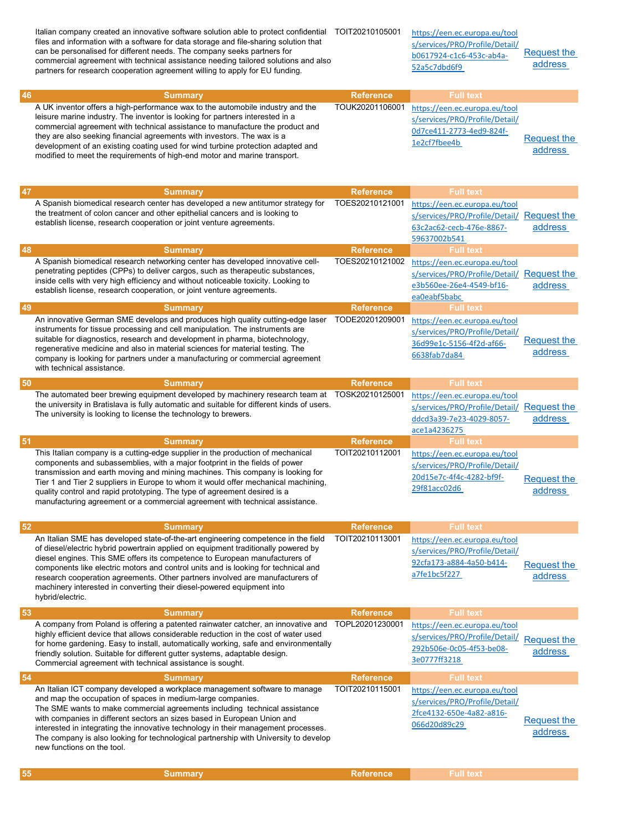Italian company created an innovative software solution able to protect confidential files and information with a software for data storage and file-sharing solution that can be personalised for different needs. The company seeks partners for commercial agreement with technical assistance needing tailored solutions and also partners for research cooperation agreement willing to apply for EU funding.

https://een.ec.europa.eu/tool s/services/PRO/Profile/Detail/ b0617924-c1c6-453c-ab4a-52a5c7dbd6f9

2fce4132-650e-4a82-a816-

<u>Request the</u><br>066d20d89c29 Request the

address

Request the address

| 46 | <b>Summary</b>                                                                  | <b>Reference</b> | <b>Full text</b>               |             |
|----|---------------------------------------------------------------------------------|------------------|--------------------------------|-------------|
|    | A UK inventor offers a high-performance wax to the automobile industry and the  | TOUK20201106001  | https://een.ec.europa.eu/tool  |             |
|    | leisure marine industry. The inventor is looking for partners interested in a   |                  | s/services/PRO/Profile/Detail/ |             |
|    | commercial agreement with technical assistance to manufacture the product and   |                  | 0d7ce411-2773-4ed9-824f-       |             |
|    | they are also seeking financial agreements with investors. The wax is a         |                  | 1e2cf7fbee4b                   | Request the |
|    | development of an existing coating used for wind turbine protection adapted and |                  |                                | address     |
|    | modified to meet the requirements of high-end motor and marine transport.       |                  |                                |             |

| 47 | <b>Summary</b>                                                                                                                                                                                                                                                                                                                                                                                                                                                                                                              | <b>Reference</b> | <b>Full text</b>                                                                                                        |                               |
|----|-----------------------------------------------------------------------------------------------------------------------------------------------------------------------------------------------------------------------------------------------------------------------------------------------------------------------------------------------------------------------------------------------------------------------------------------------------------------------------------------------------------------------------|------------------|-------------------------------------------------------------------------------------------------------------------------|-------------------------------|
|    | A Spanish biomedical research center has developed a new antitumor strategy for<br>the treatment of colon cancer and other epithelial cancers and is looking to<br>establish license, research cooperation or joint venture agreements.                                                                                                                                                                                                                                                                                     | TOES20210121001  | https://een.ec.europa.eu/tool<br>s/services/PRO/Profile/Detail/ Request the<br>63c2ac62-cecb-476e-8867-<br>59637002b541 | address                       |
| 48 | <b>Summary</b>                                                                                                                                                                                                                                                                                                                                                                                                                                                                                                              | <b>Reference</b> | <b>Full text</b>                                                                                                        |                               |
|    | A Spanish biomedical research networking center has developed innovative cell-<br>penetrating peptides (CPPs) to deliver cargos, such as the rapeutic substances,<br>inside cells with very high efficiency and without noticeable toxicity. Looking to<br>establish license, research cooperation, or joint venture agreements.                                                                                                                                                                                            | TOES20210121002  | https://een.ec.europa.eu/tool<br>s/services/PRO/Profile/Detail/ Request the<br>e3b560ee-26e4-4549-bf16-<br>ea0eabf5babc | address                       |
| 49 | <b>Summary</b>                                                                                                                                                                                                                                                                                                                                                                                                                                                                                                              | <b>Reference</b> | <b>Full text</b>                                                                                                        |                               |
|    | An innovative German SME develops and produces high quality cutting-edge laser<br>instruments for tissue processing and cell manipulation. The instruments are<br>suitable for diagnostics, research and development in pharma, biotechnology,<br>regenerative medicine and also in material sciences for material testing. The<br>company is looking for partners under a manufacturing or commercial agreement<br>with technical assistance.                                                                              | TODE20201209001  | https://een.ec.europa.eu/tool<br>s/services/PRO/Profile/Detail/<br>36d99e1c-5156-4f2d-af66-<br>6638fab7da84             | Request the<br>address        |
| 50 | <b>Summary</b>                                                                                                                                                                                                                                                                                                                                                                                                                                                                                                              | <b>Reference</b> | <b>Full text</b>                                                                                                        |                               |
|    | The automated beer brewing equipment developed by machinery research team at<br>the university in Bratislava is fully automatic and suitable for different kinds of users.<br>The university is looking to license the technology to brewers.                                                                                                                                                                                                                                                                               | TOSK20210125001  | https://een.ec.europa.eu/tool<br>s/services/PRO/Profile/Detail/ Request the<br>ddcd3a39-7e23-4029-8057-<br>ace1a4236275 | address                       |
| 51 | <b>Summary</b>                                                                                                                                                                                                                                                                                                                                                                                                                                                                                                              | <b>Reference</b> | <b>Full text</b>                                                                                                        |                               |
|    | This Italian company is a cutting-edge supplier in the production of mechanical<br>components and subassemblies, with a major footprint in the fields of power<br>transmission and earth moving and mining machines. This company is looking for<br>Tier 1 and Tier 2 suppliers in Europe to whom it would offer mechanical machining,<br>quality control and rapid prototyping. The type of agreement desired is a<br>manufacturing agreement or a commercial agreement with technical assistance.                         | TOIT20210112001  | https://een.ec.europa.eu/tool<br>s/services/PRO/Profile/Detail/<br>20d15e7c-4f4c-4282-bf9f-<br>29f81acc02d6             | <b>Request the</b><br>address |
| 52 | <b>Summary</b>                                                                                                                                                                                                                                                                                                                                                                                                                                                                                                              | <b>Reference</b> | <b>Full text</b>                                                                                                        |                               |
|    | An Italian SME has developed state-of-the-art engineering competence in the field<br>of diesel/electric hybrid powertrain applied on equipment traditionally powered by<br>diesel engines. This SME offers its competence to European manufacturers of<br>components like electric motors and control units and is looking for technical and<br>research cooperation agreements. Other partners involved are manufacturers of<br>machinery interested in converting their diesel-powered equipment into<br>hybrid/electric. | TOIT20210113001  | https://een.ec.europa.eu/tool<br>s/services/PRO/Profile/Detail/<br>92cfa173-a884-4a50-b414-<br>a7fe1bc5f227             | <b>Request the</b><br>address |
| 53 | <b>Summary</b>                                                                                                                                                                                                                                                                                                                                                                                                                                                                                                              | <b>Reference</b> | <b>Full text</b>                                                                                                        |                               |
|    | A company from Poland is offering a patented rainwater catcher, an innovative and TOPL20201230001<br>highly efficient device that allows considerable reduction in the cost of water used<br>for home gardening. Easy to install, automatically working, safe and environmentally<br>friendly solution. Suitable for different gutter systems, adaptable design.<br>Commercial agreement with technical assistance is sought.                                                                                               |                  | https://een.ec.europa.eu/tool<br>s/services/PRO/Profile/Detail/<br>292b506e-0c05-4f53-be08-<br>3e0777ff3218             | <b>Request the</b><br>address |
| 54 | <b>Summary</b>                                                                                                                                                                                                                                                                                                                                                                                                                                                                                                              | <b>Reference</b> | <b>Full text</b>                                                                                                        |                               |
|    | An Italian ICT company developed a workplace management software to manage<br>and map the occupation of spaces in medium-large companies.                                                                                                                                                                                                                                                                                                                                                                                   | TOIT20210115001  | https://een.ec.europa.eu/tool<br>s/services/PRO/Profile/Detail/                                                         |                               |

and map the occupation of spaces in medium-large companies. The SME wants to make commercial agreements including technical assistance with companies in different sectors an sizes based in European Union and interested in integrating the innovative technology in their management processes. The company is also looking for technological partnership with University to develop new functions on the tool.

**55 Summary Reference Full text** Full text Assembly Reference Full text Assembly Reference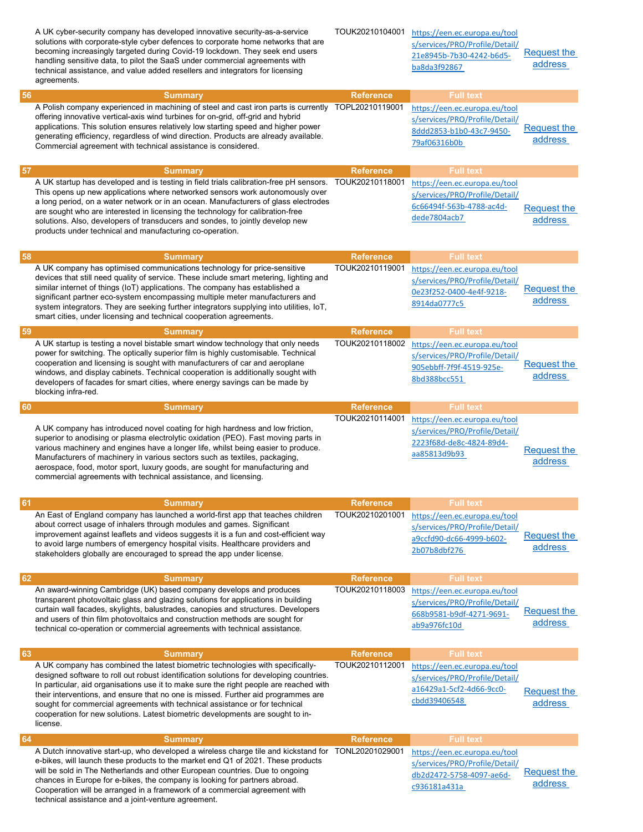|    | A UK cyber-security company has developed innovative security-as-a-service<br>solutions with corporate-style cyber defences to corporate home networks that are<br>becoming increasingly targeted during Covid-19 lockdown. They seek end users<br>handling sensitive data, to pilot the SaaS under commercial agreements with<br>technical assistance, and value added resellers and integrators for licensing<br>agreements.                                                                                                        | TOUK20210104001  | https://een.ec.europa.eu/tool<br>s/services/PRO/Profile/Detail/<br>21e8945b-7b30-4242-b6d5-<br>ba8da3f92867 | <b>Request the</b><br>address |
|----|---------------------------------------------------------------------------------------------------------------------------------------------------------------------------------------------------------------------------------------------------------------------------------------------------------------------------------------------------------------------------------------------------------------------------------------------------------------------------------------------------------------------------------------|------------------|-------------------------------------------------------------------------------------------------------------|-------------------------------|
| 56 | <b>Summary</b>                                                                                                                                                                                                                                                                                                                                                                                                                                                                                                                        | <b>Reference</b> | <b>Full text</b>                                                                                            |                               |
|    | A Polish company experienced in machining of steel and cast iron parts is currently TOPL20210119001<br>offering innovative vertical-axis wind turbines for on-grid, off-grid and hybrid<br>applications. This solution ensures relatively low starting speed and higher power<br>generating efficiency, regardless of wind direction. Products are already available.<br>Commercial agreement with technical assistance is considered.                                                                                                |                  | https://een.ec.europa.eu/tool<br>s/services/PRO/Profile/Detail/<br>8ddd2853-b1b0-43c7-9450-<br>79af06316b0b | Request the<br>address        |
| 57 | <b>Summary</b>                                                                                                                                                                                                                                                                                                                                                                                                                                                                                                                        | <b>Reference</b> | <b>Full text</b>                                                                                            |                               |
|    | A UK startup has developed and is testing in field trials calibration-free pH sensors.<br>This opens up new applications where networked sensors work autonomously over<br>a long period, on a water network or in an ocean. Manufacturers of glass electrodes<br>are sought who are interested in licensing the technology for calibration-free<br>solutions. Also, developers of transducers and sondes, to jointly develop new<br>products under technical and manufacturing co-operation.                                         | TOUK20210118001  | https://een.ec.europa.eu/tool<br>s/services/PRO/Profile/Detail/<br>6c66494f-563b-4788-ac4d-<br>dede7804acb7 | <b>Request the</b><br>address |
| 58 | <b>Summary</b>                                                                                                                                                                                                                                                                                                                                                                                                                                                                                                                        | <b>Reference</b> | <b>Full</b> text                                                                                            |                               |
|    | A UK company has optimised communications technology for price-sensitive<br>devices that still need quality of service. These include smart metering, lighting and<br>similar internet of things (IoT) applications. The company has established a<br>significant partner eco-system encompassing multiple meter manufacturers and<br>system integrators. They are seeking further integrators supplying into utilities, IoT,<br>smart cities, under licensing and technical cooperation agreements.                                  | TOUK20210119001  | https://een.ec.europa.eu/tool<br>s/services/PRO/Profile/Detail/<br>0e23f252-0400-4e4f-9218-<br>8914da0777c5 | Request the<br>address        |
| 59 | <b>Summary</b>                                                                                                                                                                                                                                                                                                                                                                                                                                                                                                                        | <b>Reference</b> | <b>Full text</b>                                                                                            |                               |
|    | A UK startup is testing a novel bistable smart window technology that only needs<br>power for switching. The optically superior film is highly customisable. Technical<br>cooperation and licensing is sought with manufacturers of car and aeroplane<br>windows, and display cabinets. Technical cooperation is additionally sought with<br>developers of facades for smart cities, where energy savings can be made by<br>blocking infra-red.                                                                                       | TOUK20210118002  | https://een.ec.europa.eu/tool<br>s/services/PRO/Profile/Detail/<br>905ebbff-7f9f-4519-925e-<br>8bd388bcc551 | Request the<br>address        |
| 60 | <b>Summary</b>                                                                                                                                                                                                                                                                                                                                                                                                                                                                                                                        | <b>Reference</b> | <b>Full text</b>                                                                                            |                               |
|    | A UK company has introduced novel coating for high hardness and low friction,<br>superior to anodising or plasma electrolytic oxidation (PEO). Fast moving parts in<br>various machinery and engines have a longer life, whilst being easier to produce.<br>Manufacturers of machinery in various sectors such as textiles, packaging,<br>aerospace, food, motor sport, luxury goods, are sought for manufacturing and<br>commercial agreements with technical assistance, and licensing.                                             | TOUK20210114001  | https://een.ec.europa.eu/tool<br>s/services/PRO/Profile/Detail/<br>2223f68d-de8c-4824-89d4-<br>aa85813d9b93 | <b>Request the</b><br>address |
| 61 | <b>Summary</b>                                                                                                                                                                                                                                                                                                                                                                                                                                                                                                                        | <b>Reference</b> | <b>Full text</b>                                                                                            |                               |
|    | An East of England company has launched a world-first app that teaches children<br>about correct usage of inhalers through modules and games. Significant<br>improvement against leaflets and videos suggests it is a fun and cost-efficient way<br>to avoid large numbers of emergency hospital visits. Healthcare providers and<br>stakeholders globally are encouraged to spread the app under license.                                                                                                                            | TOUK20210201001  | https://een.ec.europa.eu/tool<br>s/services/PRO/Profile/Detail/<br>a9ccfd90-dc66-4999-b602-<br>2b07b8dbf276 | Request the<br>address        |
| 62 | <b>Summary</b>                                                                                                                                                                                                                                                                                                                                                                                                                                                                                                                        | <b>Reference</b> | <b>Full text</b>                                                                                            |                               |
|    | An award-winning Cambridge (UK) based company develops and produces<br>transparent photovoltaic glass and glazing solutions for applications in building<br>curtain wall facades, skylights, balustrades, canopies and structures. Developers<br>and users of thin film photovoltaics and construction methods are sought for<br>technical co-operation or commercial agreements with technical assistance.                                                                                                                           | TOUK20210118003  | https://een.ec.europa.eu/tool<br>s/services/PRO/Profile/Detail/<br>668b9581-b9df-4271-9691-<br>ab9a976fc10d | Request the<br>address        |
| 63 | <b>Summary</b>                                                                                                                                                                                                                                                                                                                                                                                                                                                                                                                        | <b>Reference</b> | <b>Full text</b>                                                                                            |                               |
|    | A UK company has combined the latest biometric technologies with specifically-<br>designed software to roll out robust identification solutions for developing countries.<br>In particular, aid organisations use it to make sure the right people are reached with<br>their interventions, and ensure that no one is missed. Further aid programmes are<br>sought for commercial agreements with technical assistance or for technical<br>cooperation for new solutions. Latest biometric developments are sought to in-<br>license. | TOUK20210112001  | https://een.ec.europa.eu/tool<br>s/services/PRO/Profile/Detail/<br>a16429a1-5cf2-4d66-9cc0-<br>cbdd39406548 | <b>Request the</b><br>address |
| 64 | <b>Summary</b>                                                                                                                                                                                                                                                                                                                                                                                                                                                                                                                        | <b>Reference</b> | <b>Full</b> text                                                                                            |                               |
|    | A Dutch innovative start-up, who developed a wireless charge tile and kickstand for TONL20201029001<br>e-bikes, will launch these products to the market end Q1 of 2021. These products<br>will be sold in The Netherlands and other European countries. Due to ongoing<br>chances in Europe for e-bikes, the company is looking for partners abroad.<br>Cooperation will be arranged in a framework of a commercial agreement with<br>technical assistance and a joint-venture agreement.                                            |                  | https://een.ec.europa.eu/tool<br>s/services/PRO/Profile/Detail/<br>db2d2472-5758-4097-ae6d-<br>c936181a431a | Request the<br>address        |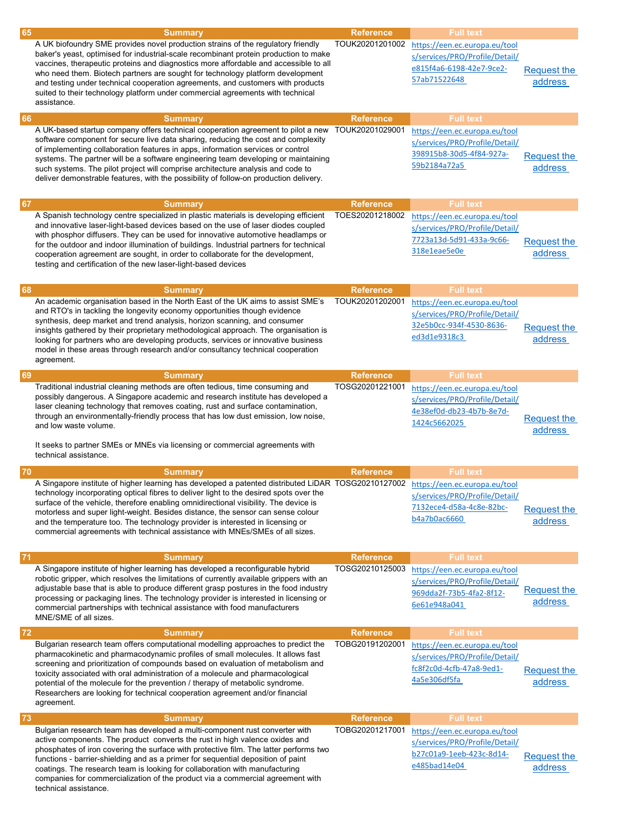| 65   | <b>Summary</b>                                                                                                                                                                                                                                                                                                                                                                                                                                                                                                                             | <b>Reference</b> | <b>Full</b> text                                                                                            |                               |
|------|--------------------------------------------------------------------------------------------------------------------------------------------------------------------------------------------------------------------------------------------------------------------------------------------------------------------------------------------------------------------------------------------------------------------------------------------------------------------------------------------------------------------------------------------|------------------|-------------------------------------------------------------------------------------------------------------|-------------------------------|
|      | A UK biofoundry SME provides novel production strains of the regulatory friendly<br>baker's yeast, optimised for industrial-scale recombinant protein production to make<br>vaccines, therapeutic proteins and diagnostics more affordable and accessible to all<br>who need them. Biotech partners are sought for technology platform development<br>and testing under technical cooperation agreements, and customers with products<br>suited to their technology platform under commercial agreements with technical<br>assistance.     | TOUK20201201002  | https://een.ec.europa.eu/tool<br>s/services/PRO/Profile/Detail/<br>e815f4a6-6198-42e7-9ce2-<br>57ab71522648 | Request the<br>address        |
| 66   | <b>Summary</b>                                                                                                                                                                                                                                                                                                                                                                                                                                                                                                                             | <b>Reference</b> | <b>Full</b> text                                                                                            |                               |
|      | A UK-based startup company offers technical cooperation agreement to pilot a new<br>software component for secure live data sharing, reducing the cost and complexity<br>of implementing collaboration features in apps, information services or control<br>systems. The partner will be a software engineering team developing or maintaining<br>such systems. The pilot project will comprise architecture analysis and code to<br>deliver demonstrable features, with the possibility of follow-on production delivery.                 | TOUK20201029001  | https://een.ec.europa.eu/tool<br>s/services/PRO/Profile/Detail/<br>398915b8-30d5-4f84-927a-<br>59b2184a72a5 | <b>Request the</b><br>address |
| 67   | <b>Summary</b>                                                                                                                                                                                                                                                                                                                                                                                                                                                                                                                             | <b>Reference</b> | <b>Full text</b>                                                                                            |                               |
|      | A Spanish technology centre specialized in plastic materials is developing efficient<br>and innovative laser-light-based devices based on the use of laser diodes coupled<br>with phosphor diffusers. They can be used for innovative automotive headlamps or<br>for the outdoor and indoor illumination of buildings. Industrial partners for technical<br>cooperation agreement are sought, in order to collaborate for the development,<br>testing and certification of the new laser-light-based devices                               | TOES20201218002  | https://een.ec.europa.eu/tool<br>s/services/PRO/Profile/Detail/<br>7723a13d-5d91-433a-9c66-<br>318e1eae5e0e | <b>Request the</b><br>address |
| 68   | <b>Summary</b>                                                                                                                                                                                                                                                                                                                                                                                                                                                                                                                             | <b>Reference</b> | <b>Full text</b>                                                                                            |                               |
|      | An academic organisation based in the North East of the UK aims to assist SME's<br>and RTO's in tackling the longevity economy opportunities though evidence<br>synthesis, deep market and trend analysis, horizon scanning, and consumer<br>insights gathered by their proprietary methodological approach. The organisation is<br>looking for partners who are developing products, services or innovative business<br>model in these areas through research and/or consultancy technical cooperation<br>agreement.                      | TOUK20201202001  | https://een.ec.europa.eu/tool<br>s/services/PRO/Profile/Detail/<br>32e5b0cc-934f-4530-8636-<br>ed3d1e9318c3 | <b>Request the</b><br>address |
| 69   | <b>Summary</b>                                                                                                                                                                                                                                                                                                                                                                                                                                                                                                                             | <b>Reference</b> | <b>Full text</b>                                                                                            |                               |
|      | Traditional industrial cleaning methods are often tedious, time consuming and<br>possibly dangerous. A Singapore academic and research institute has developed a<br>laser cleaning technology that removes coating, rust and surface contamination,<br>through an environmentally-friendly process that has low dust emission, low noise,<br>and low waste volume.<br>It seeks to partner SMEs or MNEs via licensing or commercial agreements with<br>technical assistance.                                                                | TOSG20201221001  | https://een.ec.europa.eu/tool<br>s/services/PRO/Profile/Detail/<br>4e38ef0d-db23-4b7b-8e7d-<br>1424c5662025 | <b>Request the</b><br>address |
| 70   | <b>Summary</b>                                                                                                                                                                                                                                                                                                                                                                                                                                                                                                                             | <b>Reference</b> | <b>Full text</b>                                                                                            |                               |
|      | A Singapore institute of higher learning has developed a patented distributed LiDAR TOSG20210127002<br>technology incorporating optical fibres to deliver light to the desired spots over the<br>surface of the vehicle, therefore enabling omnidirectional visibility. The device is<br>motorless and super light-weight. Besides distance, the sensor can sense colour<br>and the temperature too. The technology provider is interested in licensing or<br>commercial agreements with technical assistance with MNEs/SMEs of all sizes. |                  | https://een.ec.europa.eu/tool<br>s/services/PRO/Profile/Detail/<br>7132ece4-d58a-4c8e-82bc-<br>b4a7b0ac6660 | Request the<br>address        |
| 71   | <b>Summary</b>                                                                                                                                                                                                                                                                                                                                                                                                                                                                                                                             | <b>Reference</b> | <b>Full text</b>                                                                                            |                               |
|      | A Singapore institute of higher learning has developed a reconfigurable hybrid<br>robotic gripper, which resolves the limitations of currently available grippers with an<br>adjustable base that is able to produce different grasp postures in the food industry<br>processing or packaging lines. The technology provider is interested in licensing or<br>commercial partnerships with technical assistance with food manufacturers<br>MNE/SME of all sizes.                                                                           | TOSG20210125003  | https://een.ec.europa.eu/tool<br>s/services/PRO/Profile/Detail/<br>969dda2f-73b5-4fa2-8f12-<br>6e61e948a041 | Request the<br>address        |
| 72   | <b>Summary</b>                                                                                                                                                                                                                                                                                                                                                                                                                                                                                                                             | <b>Reference</b> | <b>Full text</b>                                                                                            |                               |
|      | Bulgarian research team offers computational modelling approaches to predict the<br>pharmacokinetic and pharmacodynamic profiles of small molecules. It allows fast<br>screening and prioritization of compounds based on evaluation of metabolism and<br>toxicity associated with oral administration of a molecule and pharmacological<br>potential of the molecule for the prevention / therapy of metabolic syndrome.<br>Researchers are looking for technical cooperation agreement and/or financial<br>agreement.                    | TOBG20191202001  | https://een.ec.europa.eu/tool<br>s/services/PRO/Profile/Detail/<br>fc8f2c0d-4cfb-47a8-9ed1-<br>4a5e306df5fa | Request the<br>address        |
| $73$ | <b>Summary</b>                                                                                                                                                                                                                                                                                                                                                                                                                                                                                                                             | <b>Reference</b> | <b>Full text</b>                                                                                            |                               |
|      | Bulgarian research team has developed a multi-component rust converter with<br>active components. The product converts the rust in high valence oxides and<br>phosphates of iron covering the surface with protective film. The latter performs two<br>functions - barrier-shielding and as a primer for sequential deposition of paint<br>coatings. The research team is looking for collaboration with manufacturing<br>companies for commercialization of the product via a commercial agreement with<br>technical assistance.          | TOBG20201217001  | https://een.ec.europa.eu/tool<br>s/services/PRO/Profile/Detail/<br>b27c01a9-1eeb-423c-8d14-<br>e485bad14e04 | Request the<br>address        |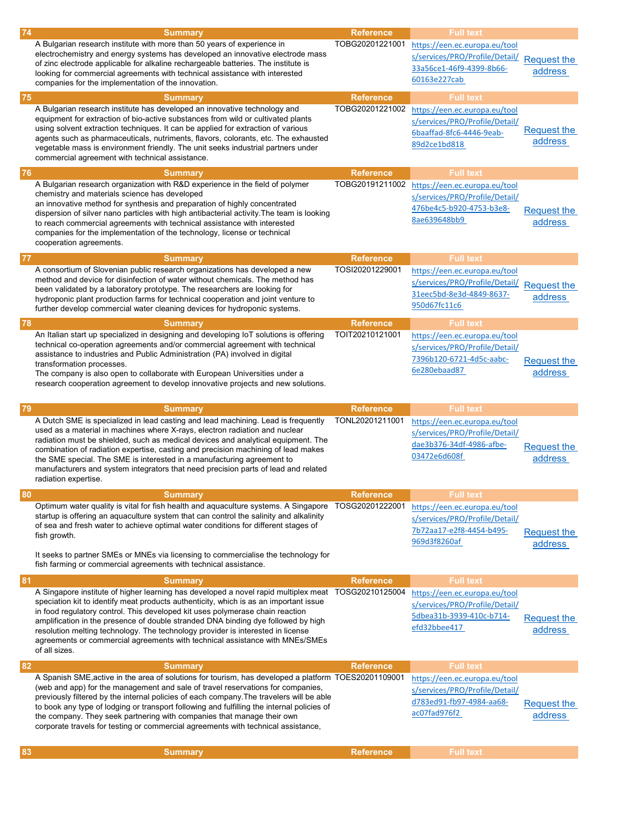| 74 | <b>Summary</b>                                                                                                                                                                                                                                                                                                                                                                                                                                                                                                                                       | <b>Reference</b>                    | <b>Full text</b>                                                                                                                |                               |
|----|------------------------------------------------------------------------------------------------------------------------------------------------------------------------------------------------------------------------------------------------------------------------------------------------------------------------------------------------------------------------------------------------------------------------------------------------------------------------------------------------------------------------------------------------------|-------------------------------------|---------------------------------------------------------------------------------------------------------------------------------|-------------------------------|
|    | A Bulgarian research institute with more than 50 years of experience in<br>electrochemistry and energy systems has developed an innovative electrode mass<br>of zinc electrode applicable for alkaline rechargeable batteries. The institute is<br>looking for commercial agreements with technical assistance with interested<br>companies for the implementation of the innovation.                                                                                                                                                                | TOBG20201221001                     | https://een.ec.europa.eu/tool<br>s/services/PRO/Profile/Detail/<br>33a56ce1-46f9-4399-8b66-<br>60163e227cab                     | <b>Request the</b><br>address |
| 75 | <b>Summary</b>                                                                                                                                                                                                                                                                                                                                                                                                                                                                                                                                       | <b>Reference</b>                    | <b>Full text</b>                                                                                                                |                               |
|    | A Bulgarian research institute has developed an innovative technology and<br>equipment for extraction of bio-active substances from wild or cultivated plants<br>using solvent extraction techniques. It can be applied for extraction of various<br>agents such as pharmaceuticals, nutriments, flavors, colorants, etc. The exhausted<br>vegetable mass is environment friendly. The unit seeks industrial partners under<br>commercial agreement with technical assistance.                                                                       | TOBG20201221002                     | https://een.ec.europa.eu/tool<br>s/services/PRO/Profile/Detail/<br>6baaffad-8fc6-4446-9eab-<br>89d2ce1bd818                     | <b>Request the</b><br>address |
| 76 | <b>Summary</b>                                                                                                                                                                                                                                                                                                                                                                                                                                                                                                                                       | <b>Reference</b>                    | <b>Full text</b>                                                                                                                |                               |
|    | A Bulgarian research organization with R&D experience in the field of polymer<br>chemistry and materials science has developed<br>an innovative method for synthesis and preparation of highly concentrated<br>dispersion of silver nano particles with high antibacterial activity. The team is looking<br>to reach commercial agreements with technical assistance with interested<br>companies for the implementation of the technology, license or technical<br>cooperation agreements.                                                          | TOBG20191211002                     | https://een.ec.europa.eu/tool<br>s/services/PRO/Profile/Detail/<br>476be4c5-b920-4753-b3e8-<br>8ae639648bb9                     | <b>Request the</b><br>address |
| 77 | <b>Summary</b>                                                                                                                                                                                                                                                                                                                                                                                                                                                                                                                                       | <b>Reference</b>                    | <b>Full text</b>                                                                                                                |                               |
|    | A consortium of Slovenian public research organizations has developed a new<br>method and device for disinfection of water without chemicals. The method has<br>been validated by a laboratory prototype. The researchers are looking for<br>hydroponic plant production farms for technical cooperation and joint venture to<br>further develop commercial water cleaning devices for hydroponic systems.                                                                                                                                           | TOSI20201229001                     | https://een.ec.europa.eu/tool<br>s/services/PRO/Profile/Detail/<br>31eec5bd-8e3d-4849-8637-<br>950d67fc11c6                     | <b>Request the</b><br>address |
| 78 | <b>Summary</b>                                                                                                                                                                                                                                                                                                                                                                                                                                                                                                                                       | <b>Reference</b>                    | <b>Full text</b>                                                                                                                |                               |
|    | An Italian start up specialized in designing and developing IoT solutions is offering<br>technical co-operation agreements and/or commercial agreement with technical<br>assistance to industries and Public Administration (PA) involved in digital<br>transformation processes.<br>The company is also open to collaborate with European Universities under a<br>research cooperation agreement to develop innovative projects and new solutions.                                                                                                  | TOIT20210121001                     | https://een.ec.europa.eu/tool<br>s/services/PRO/Profile/Detail/<br>7396b120-6721-4d5c-aabc-<br>6e280ebaad87                     | <b>Request the</b><br>address |
|    |                                                                                                                                                                                                                                                                                                                                                                                                                                                                                                                                                      |                                     |                                                                                                                                 |                               |
|    |                                                                                                                                                                                                                                                                                                                                                                                                                                                                                                                                                      |                                     |                                                                                                                                 |                               |
| 79 | <b>Summary</b><br>A Dutch SME is specialized in lead casting and lead machining. Lead is frequently<br>used as a material in machines where X-rays, electron radiation and nuclear<br>radiation must be shielded, such as medical devices and analytical equipment. The<br>combination of radiation expertise, casting and precision machining of lead makes<br>the SME special. The SME is interested in a manufacturing agreement to<br>manufacturers and system integrators that need precision parts of lead and related<br>radiation expertise. | <b>Reference</b><br>TONL20201211001 | <b>Full text</b><br>https://een.ec.europa.eu/tool<br>s/services/PRO/Profile/Detail/<br>dae3b376-34df-4986-afbe-<br>03472e6d608f | <b>Request the</b><br>address |
|    |                                                                                                                                                                                                                                                                                                                                                                                                                                                                                                                                                      |                                     |                                                                                                                                 |                               |
| 80 | <b>Summary</b><br>Optimum water quality is vital for fish health and aquaculture systems. A Singapore TOSG20201222001<br>startup is offering an aquaculture system that can control the salinity and alkalinity<br>of sea and fresh water to achieve optimal water conditions for different stages of<br>fish growth.<br>It seeks to partner SMEs or MNEs via licensing to commercialise the technology for<br>fish farming or commercial agreements with technical assistance.                                                                      | <b>Reference</b>                    | <b>Full text</b><br>https://een.ec.europa.eu/tool<br>s/services/PRO/Profile/Detail/<br>7b72aa17-e2f8-4454-b495-<br>969d3f8260af | <b>Request the</b><br>address |
| 81 | <b>Summary</b>                                                                                                                                                                                                                                                                                                                                                                                                                                                                                                                                       | <b>Reference</b>                    | <b>Full text</b>                                                                                                                |                               |
|    | A Singapore institute of higher learning has developed a novel rapid multiplex meat<br>speciation kit to identify meat products authenticity, which is as an important issue<br>in food regulatory control. This developed kit uses polymerase chain reaction<br>amplification in the presence of double stranded DNA binding dye followed by high<br>resolution melting technology. The technology provider is interested in license<br>agreements or commercial agreements with technical assistance with MNEs/SMEs<br>of all sizes.               | TOSG20210125004                     | https://een.ec.europa.eu/tool<br>s/services/PRO/Profile/Detail/<br>5dbea31b-3939-410c-b714-<br>efd32bbee417                     | <b>Request the</b><br>address |
| 82 | <b>Summary</b>                                                                                                                                                                                                                                                                                                                                                                                                                                                                                                                                       | <b>Reference</b>                    | <b>Full text</b>                                                                                                                |                               |
|    | A Spanish SME, active in the area of solutions for tourism, has developed a platform TOES20201109001<br>(web and app) for the management and sale of travel reservations for companies,<br>previously filtered by the internal policies of each company. The travelers will be able<br>to book any type of lodging or transport following and fulfilling the internal policies of<br>the company. They seek partnering with companies that manage their own<br>corporate travels for testing or commercial agreements with technical assistance,     |                                     | https://een.ec.europa.eu/tool<br>s/services/PRO/Profile/Detail/<br>d783ed91-fb97-4984-aa68-<br><u>ac07fad976f2</u>              | Request the<br>address        |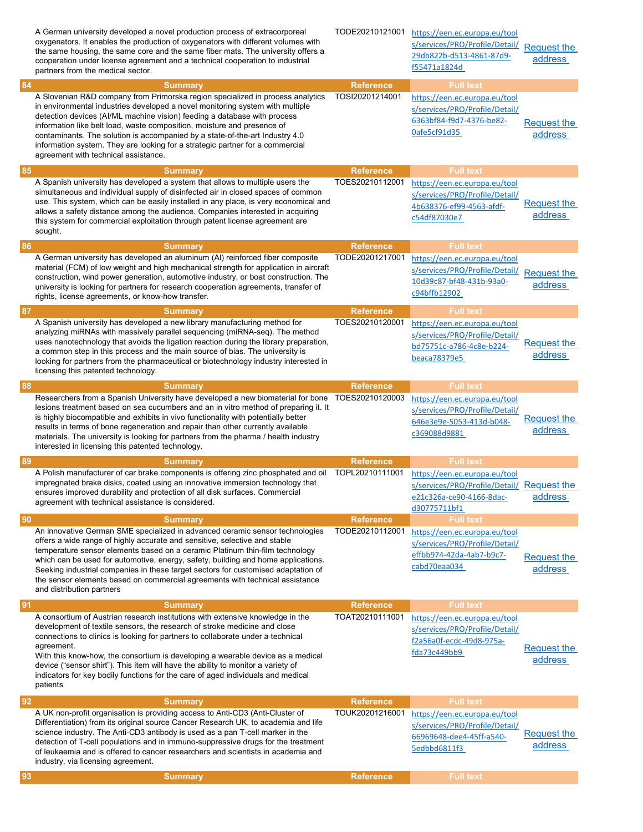|    | A German university developed a novel production process of extracorporeal<br>oxygenators. It enables the production of oxygenators with different volumes with<br>the same housing, the same core and the same fiber mats. The university offers a<br>cooperation under license agreement and a technical cooperation to industrial<br>partners from the medical sector.                                                                                                                                                                         | TODE20210121001                     | https://een.ec.europa.eu/tool<br>s/services/PRO/Profile/Detail/<br>29db822b-d513-4861-87d9-<br>f55471a1824d                     | <b>Request the</b><br>address |
|----|---------------------------------------------------------------------------------------------------------------------------------------------------------------------------------------------------------------------------------------------------------------------------------------------------------------------------------------------------------------------------------------------------------------------------------------------------------------------------------------------------------------------------------------------------|-------------------------------------|---------------------------------------------------------------------------------------------------------------------------------|-------------------------------|
| 84 | <b>Summary</b><br>A Slovenian R&D company from Primorska region specialized in process analytics<br>in environmental industries developed a novel monitoring system with multiple<br>detection devices (AI/ML machine vision) feeding a database with process<br>information like belt load, waste composition, moisture and presence of<br>contaminants. The solution is accompanied by a state-of-the-art Industry 4.0<br>information system. They are looking for a strategic partner for a commercial<br>agreement with technical assistance. | <b>Reference</b><br>TOSI20201214001 | <b>Full text</b><br>https://een.ec.europa.eu/tool<br>s/services/PRO/Profile/Detail/<br>6363bf84-f9d7-4376-be82-<br>Oafe5cf91d35 | <b>Request the</b><br>address |
| 85 | <b>Summary</b>                                                                                                                                                                                                                                                                                                                                                                                                                                                                                                                                    | <b>Reference</b>                    | <b>Full text</b>                                                                                                                |                               |
|    | A Spanish university has developed a system that allows to multiple users the<br>simultaneous and individual supply of disinfected air in closed spaces of common<br>use. This system, which can be easily installed in any place, is very economical and<br>allows a safety distance among the audience. Companies interested in acquiring<br>this system for commercial exploitation through patent license agreement are<br>sought.                                                                                                            | TOES20210112001                     | https://een.ec.europa.eu/tool<br>s/services/PRO/Profile/Detail/<br>4b638376-ef99-4563-afdf-<br>c54df87030e7                     | <b>Request the</b><br>address |
| 86 | <b>Summary</b>                                                                                                                                                                                                                                                                                                                                                                                                                                                                                                                                    | <b>Reference</b>                    | <b>Full text</b>                                                                                                                |                               |
|    | A German university has developed an aluminum (AI) reinforced fiber composite<br>material (FCM) of low weight and high mechanical strength for application in aircraft<br>construction, wind power generation, automotive industry, or boat construction. The<br>university is looking for partners for research cooperation agreements, transfer of<br>rights, license agreements, or know-how transfer.                                                                                                                                         | TODE20201217001                     | https://een.ec.europa.eu/tool<br>s/services/PRO/Profile/Detail/<br>10d39c87-bf48-431b-93a0-<br>c94bffb12902                     | <b>Request the</b><br>address |
| 87 | <b>Summary</b>                                                                                                                                                                                                                                                                                                                                                                                                                                                                                                                                    | <b>Reference</b>                    | <b>Full text</b>                                                                                                                |                               |
|    | A Spanish university has developed a new library manufacturing method for<br>analyzing miRNAs with massively parallel sequencing (miRNA-seq). The method<br>uses nanotechnology that avoids the ligation reaction during the library preparation,<br>a common step in this process and the main source of bias. The university is<br>looking for partners from the pharmaceutical or biotechnology industry interested in<br>licensing this patented technology.                                                                                  | TOES20210120001                     | https://een.ec.europa.eu/tool<br>s/services/PRO/Profile/Detail/<br>bd75751c-a786-4c8e-b224-<br>beaca78379e5                     | <b>Request the</b><br>address |
| 88 | <b>Summary</b>                                                                                                                                                                                                                                                                                                                                                                                                                                                                                                                                    | <b>Reference</b>                    | <b>Full text</b>                                                                                                                |                               |
|    | Researchers from a Spanish University have developed a new biomaterial for bone<br>lesions treatment based on sea cucumbers and an in vitro method of preparing it. It<br>is highly biocompatible and exhibits in vivo functionality with potentially better<br>results in terms of bone regeneration and repair than other currently available<br>materials. The university is looking for partners from the pharma / health industry<br>interested in licensing this patented technology.                                                       | TOES20210120003                     | https://een.ec.europa.eu/tool<br>s/services/PRO/Profile/Detail/<br>646e3e9e-5053-413d-b048-<br>c369088d9881                     | <b>Request the</b><br>address |
| 89 | <b>Summary</b>                                                                                                                                                                                                                                                                                                                                                                                                                                                                                                                                    | <b>Reference</b>                    | <b>Full text</b>                                                                                                                |                               |
|    | A Polish manufacturer of car brake components is offering zinc phosphated and oil<br>impregnated brake disks, coated using an innovative immersion technology that<br>ensures improved durability and protection of all disk surfaces. Commercial<br>agreement with technical assistance is considered.                                                                                                                                                                                                                                           | TOPL20210111001                     | https://een.ec.europa.eu/tool<br>s/services/PRO/Profile/Detail/ Request the<br>e21c326a-ce90-4166-8dac-<br>d30775711bf1         | address                       |
| 90 | <b>Summary</b>                                                                                                                                                                                                                                                                                                                                                                                                                                                                                                                                    | <b>Reference</b>                    | <b>Full text</b>                                                                                                                |                               |
|    | An innovative German SME specialized in advanced ceramic sensor technologies<br>offers a wide range of highly accurate and sensitive, selective and stable<br>temperature sensor elements based on a ceramic Platinum thin-film technology<br>which can be used for automotive, energy, safety, building and home applications.<br>Seeking industrial companies in these target sectors for customised adaptation of<br>the sensor elements based on commercial agreements with technical assistance<br>and distribution partners                 | TODE20210112001                     | https://een.ec.europa.eu/tool<br>s/services/PRO/Profile/Detail/<br>effbb974-42da-4ab7-b9c7-<br>cabd70eaa034                     | <b>Request the</b><br>address |
| 91 | <b>Summary</b>                                                                                                                                                                                                                                                                                                                                                                                                                                                                                                                                    | <b>Reference</b>                    | <b>Full text</b>                                                                                                                |                               |
|    | A consortium of Austrian research institutions with extensive knowledge in the<br>development of textile sensors, the research of stroke medicine and close<br>connections to clinics is looking for partners to collaborate under a technical<br>agreement.<br>With this know-how, the consortium is developing a wearable device as a medical<br>device ("sensor shirt"). This item will have the ability to monitor a variety of<br>indicators for key bodily functions for the care of aged individuals and medical<br>patients               | TOAT20210111001                     | https://een.ec.europa.eu/tool<br>s/services/PRO/Profile/Detail/<br>f2a56a0f-ecdc-49d8-975a-<br>fda73c449bb9                     | Request the<br>address        |
| 92 | <b>Summary</b>                                                                                                                                                                                                                                                                                                                                                                                                                                                                                                                                    | <b>Reference</b>                    | <b>Full text</b>                                                                                                                |                               |
|    | A UK non-profit organisation is providing access to Anti-CD3 (Anti-Cluster of<br>Differentiation) from its original source Cancer Research UK, to academia and life<br>science industry. The Anti-CD3 antibody is used as a pan T-cell marker in the<br>detection of T-cell populations and in immuno-suppressive drugs for the treatment<br>of leukaemia and is offered to cancer researchers and scientists in academia and<br>industry, via licensing agreement.                                                                               | TOUK20201216001                     | https://een.ec.europa.eu/tool<br>s/services/PRO/Profile/Detail/<br>66969648-dee4-45ff-a540-<br>5edbbd6811f3                     | <b>Request the</b><br>address |
| 93 | <b>Summary</b>                                                                                                                                                                                                                                                                                                                                                                                                                                                                                                                                    | <b>Reference</b>                    | <b>Full text</b>                                                                                                                |                               |
|    |                                                                                                                                                                                                                                                                                                                                                                                                                                                                                                                                                   |                                     |                                                                                                                                 |                               |